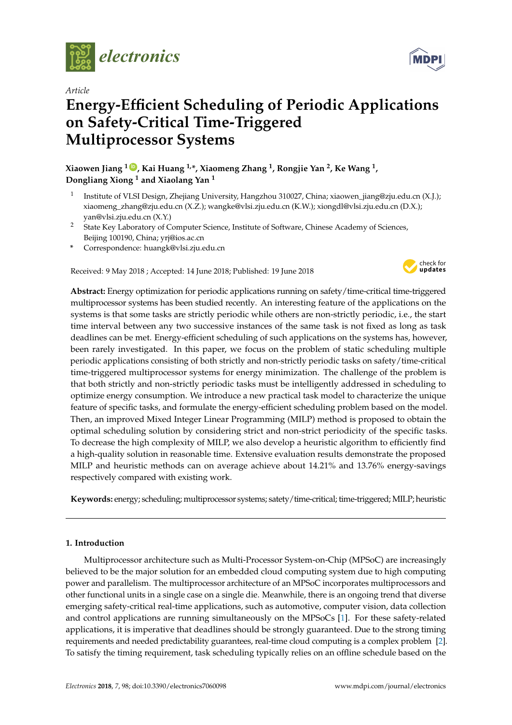

*Article*

# **Energy-Efficient Scheduling of Periodic Applications on Safety-Critical Time-Triggered Multiprocessor Systems**

**Xiaowen Jiang <sup>1</sup> [ID](https://orcid.org/0000-0002-6283-2262) , Kai Huang 1,\*, Xiaomeng Zhang <sup>1</sup> , Rongjie Yan <sup>2</sup> , Ke Wang <sup>1</sup> , Dongliang Xiong <sup>1</sup> and Xiaolang Yan <sup>1</sup>**

- 1 Institute of VLSI Design, Zhejiang University, Hangzhou 310027, China; xiaowen\_jiang@zju.edu.cn (X.J.); xiaomeng\_zhang@zju.edu.cn (X.Z.); wangke@vlsi.zju.edu.cn (K.W.); xiongdl@vlsi.zju.edu.cn (D.X.); yan@vlsi.zju.edu.cn (X.Y.)
- <sup>2</sup> State Key Laboratory of Computer Science, Institute of Software, Chinese Academy of Sciences, Beijing 100190, China; yrj@ios.ac.cn
- **\*** Correspondence: huangk@vlsi.zju.edu.cn

Received: 9 May 2018 ; Accepted: 14 June 2018; Published: 19 June 2018



**Abstract:** Energy optimization for periodic applications running on safety/time-critical time-triggered multiprocessor systems has been studied recently. An interesting feature of the applications on the systems is that some tasks are strictly periodic while others are non-strictly periodic, i.e., the start time interval between any two successive instances of the same task is not fixed as long as task deadlines can be met. Energy-efficient scheduling of such applications on the systems has, however, been rarely investigated. In this paper, we focus on the problem of static scheduling multiple periodic applications consisting of both strictly and non-strictly periodic tasks on safety/time-critical time-triggered multiprocessor systems for energy minimization. The challenge of the problem is that both strictly and non-strictly periodic tasks must be intelligently addressed in scheduling to optimize energy consumption. We introduce a new practical task model to characterize the unique feature of specific tasks, and formulate the energy-efficient scheduling problem based on the model. Then, an improved Mixed Integer Linear Programming (MILP) method is proposed to obtain the optimal scheduling solution by considering strict and non-strict periodicity of the specific tasks. To decrease the high complexity of MILP, we also develop a heuristic algorithm to efficiently find a high-quality solution in reasonable time. Extensive evaluation results demonstrate the proposed MILP and heuristic methods can on average achieve about 14.21% and 13.76% energy-savings respectively compared with existing work.

**Keywords:** energy; scheduling; multiprocessor systems; satety/time-critical; time-triggered; MILP; heuristic

# **1. Introduction**

Multiprocessor architecture such as Multi-Processor System-on-Chip (MPSoC) are increasingly believed to be the major solution for an embedded cloud computing system due to high computing power and parallelism. The multiprocessor architecture of an MPSoC incorporates multiprocessors and other functional units in a single case on a single die. Meanwhile, there is an ongoing trend that diverse emerging safety-critical real-time applications, such as automotive, computer vision, data collection and control applications are running simultaneously on the MPSoCs [\[1\]](#page-20-0). For these safety-related applications, it is imperative that deadlines should be strongly guaranteed. Due to the strong timing requirements and needed predictability guarantees, real-time cloud computing is a complex problem [\[2\]](#page-20-1). To satisfy the timing requirement, task scheduling typically relies on an offline schedule based on the

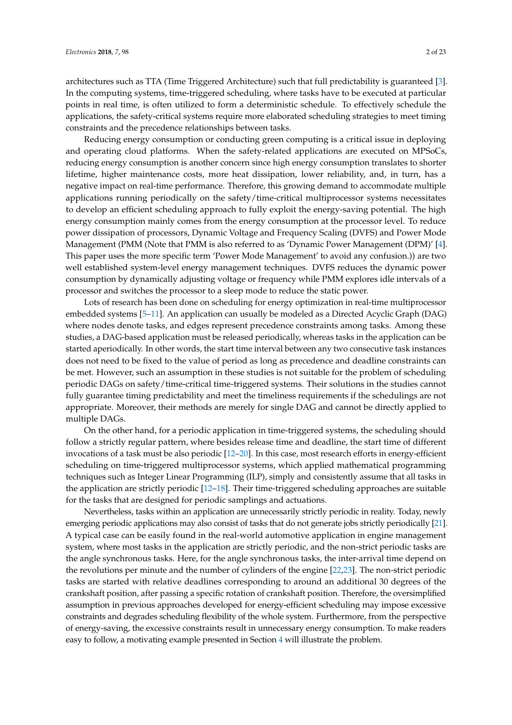architectures such as TTA (Time Triggered Architecture) such that full predictability is guaranteed [\[3\]](#page-20-2). In the computing systems, time-triggered scheduling, where tasks have to be executed at particular points in real time, is often utilized to form a deterministic schedule. To effectively schedule the applications, the safety-critical systems require more elaborated scheduling strategies to meet timing constraints and the precedence relationships between tasks.

Reducing energy consumption or conducting green computing is a critical issue in deploying and operating cloud platforms. When the safety-related applications are executed on MPSoCs, reducing energy consumption is another concern since high energy consumption translates to shorter lifetime, higher maintenance costs, more heat dissipation, lower reliability, and, in turn, has a negative impact on real-time performance. Therefore, this growing demand to accommodate multiple applications running periodically on the safety/time-critical multiprocessor systems necessitates to develop an efficient scheduling approach to fully exploit the energy-saving potential. The high energy consumption mainly comes from the energy consumption at the processor level. To reduce power dissipation of processors, Dynamic Voltage and Frequency Scaling (DVFS) and Power Mode Management (PMM (Note that PMM is also referred to as 'Dynamic Power Management (DPM)' [\[4\]](#page-20-3). This paper uses the more specific term 'Power Mode Management' to avoid any confusion.)) are two well established system-level energy management techniques. DVFS reduces the dynamic power consumption by dynamically adjusting voltage or frequency while PMM explores idle intervals of a processor and switches the processor to a sleep mode to reduce the static power.

Lots of research has been done on scheduling for energy optimization in real-time multiprocessor embedded systems [\[5](#page-20-4)[–11\]](#page-20-5). An application can usually be modeled as a Directed Acyclic Graph (DAG) where nodes denote tasks, and edges represent precedence constraints among tasks. Among these studies, a DAG-based application must be released periodically, whereas tasks in the application can be started aperiodically. In other words, the start time interval between any two consecutive task instances does not need to be fixed to the value of period as long as precedence and deadline constraints can be met. However, such an assumption in these studies is not suitable for the problem of scheduling periodic DAGs on safety/time-critical time-triggered systems. Their solutions in the studies cannot fully guarantee timing predictability and meet the timeliness requirements if the schedulings are not appropriate. Moreover, their methods are merely for single DAG and cannot be directly applied to multiple DAGs.

On the other hand, for a periodic application in time-triggered systems, the scheduling should follow a strictly regular pattern, where besides release time and deadline, the start time of different invocations of a task must be also periodic [\[12–](#page-20-6)[20\]](#page-21-0). In this case, most research efforts in energy-efficient scheduling on time-triggered multiprocessor systems, which applied mathematical programming techniques such as Integer Linear Programming (ILP), simply and consistently assume that all tasks in the application are strictly periodic [\[12–](#page-20-6)[18\]](#page-21-1). Their time-triggered scheduling approaches are suitable for the tasks that are designed for periodic samplings and actuations.

Nevertheless, tasks within an application are unnecessarily strictly periodic in reality. Today, newly emerging periodic applications may also consist of tasks that do not generate jobs strictly periodically [\[21\]](#page-21-2). A typical case can be easily found in the real-world automotive application in engine management system, where most tasks in the application are strictly periodic, and the non-strict periodic tasks are the angle synchronous tasks. Here, for the angle synchronous tasks, the inter-arrival time depend on the revolutions per minute and the number of cylinders of the engine [\[22](#page-21-3)[,23\]](#page-21-4). The non-strict periodic tasks are started with relative deadlines corresponding to around an additional 30 degrees of the crankshaft position, after passing a specific rotation of crankshaft position. Therefore, the oversimplified assumption in previous approaches developed for energy-efficient scheduling may impose excessive constraints and degrades scheduling flexibility of the whole system. Furthermore, from the perspective of energy-saving, the excessive constraints result in unnecessary energy consumption. To make readers easy to follow, a motivating example presented in Section [4](#page-8-0) will illustrate the problem.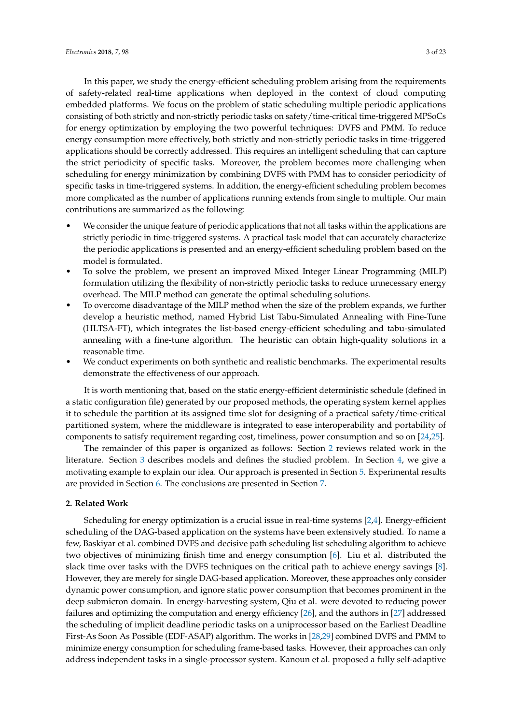In this paper, we study the energy-efficient scheduling problem arising from the requirements of safety-related real-time applications when deployed in the context of cloud computing embedded platforms. We focus on the problem of static scheduling multiple periodic applications consisting of both strictly and non-strictly periodic tasks on safety/time-critical time-triggered MPSoCs for energy optimization by employing the two powerful techniques: DVFS and PMM. To reduce energy consumption more effectively, both strictly and non-strictly periodic tasks in time-triggered applications should be correctly addressed. This requires an intelligent scheduling that can capture the strict periodicity of specific tasks. Moreover, the problem becomes more challenging when scheduling for energy minimization by combining DVFS with PMM has to consider periodicity of specific tasks in time-triggered systems. In addition, the energy-efficient scheduling problem becomes more complicated as the number of applications running extends from single to multiple. Our main contributions are summarized as the following:

- We consider the unique feature of periodic applications that not all tasks within the applications are strictly periodic in time-triggered systems. A practical task model that can accurately characterize the periodic applications is presented and an energy-efficient scheduling problem based on the model is formulated.
- To solve the problem, we present an improved Mixed Integer Linear Programming (MILP) formulation utilizing the flexibility of non-strictly periodic tasks to reduce unnecessary energy overhead. The MILP method can generate the optimal scheduling solutions.
- To overcome disadvantage of the MILP method when the size of the problem expands, we further develop a heuristic method, named Hybrid List Tabu-Simulated Annealing with Fine-Tune (HLTSA-FT), which integrates the list-based energy-efficient scheduling and tabu-simulated annealing with a fine-tune algorithm. The heuristic can obtain high-quality solutions in a reasonable time.
- We conduct experiments on both synthetic and realistic benchmarks. The experimental results demonstrate the effectiveness of our approach.

It is worth mentioning that, based on the static energy-efficient deterministic schedule (defined in a static configuration file) generated by our proposed methods, the operating system kernel applies it to schedule the partition at its assigned time slot for designing of a practical safety/time-critical partitioned system, where the middleware is integrated to ease interoperability and portability of components to satisfy requirement regarding cost, timeliness, power consumption and so on [\[24,](#page-21-5)[25\]](#page-21-6).

The remainder of this paper is organized as follows: Section [2](#page-2-0) reviews related work in the literature. Section [3](#page-4-0) describes models and defines the studied problem. In Section [4,](#page-8-0) we give a motivating example to explain our idea. Our approach is presented in Section [5.](#page-9-0) Experimental results are provided in Section [6.](#page-15-0) The conclusions are presented in Section [7.](#page-19-0)

# <span id="page-2-0"></span>**2. Related Work**

Scheduling for energy optimization is a crucial issue in real-time systems [\[2](#page-20-1)[,4\]](#page-20-3). Energy-efficient scheduling of the DAG-based application on the systems have been extensively studied. To name a few, Baskiyar et al. combined DVFS and decisive path scheduling list scheduling algorithm to achieve two objectives of minimizing finish time and energy consumption [\[6\]](#page-20-7). Liu et al. distributed the slack time over tasks with the DVFS techniques on the critical path to achieve energy savings [\[8\]](#page-20-8). However, they are merely for single DAG-based application. Moreover, these approaches only consider dynamic power consumption, and ignore static power consumption that becomes prominent in the deep submicron domain. In energy-harvesting system, Qiu et al. were devoted to reducing power failures and optimizing the computation and energy efficiency [\[26\]](#page-21-7), and the authors in [\[27\]](#page-21-8) addressed the scheduling of implicit deadline periodic tasks on a uniprocessor based on the Earliest Deadline First-As Soon As Possible (EDF-ASAP) algorithm. The works in [\[28](#page-21-9)[,29\]](#page-21-10) combined DVFS and PMM to minimize energy consumption for scheduling frame-based tasks. However, their approaches can only address independent tasks in a single-processor system. Kanoun et al. proposed a fully self-adaptive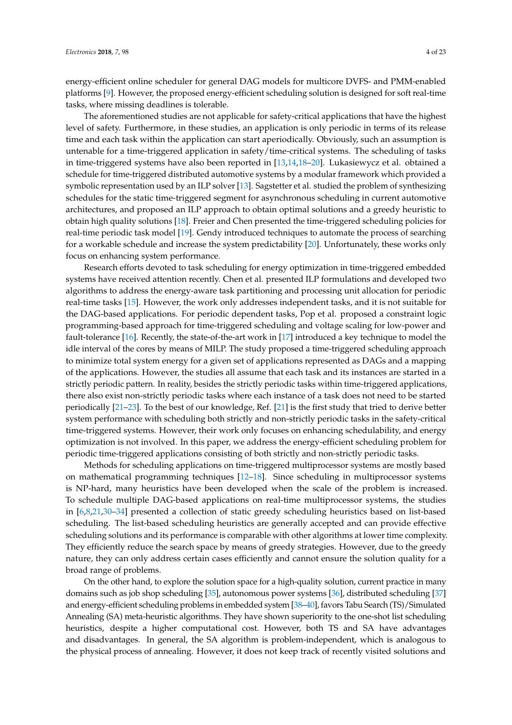energy-efficient online scheduler for general DAG models for multicore DVFS- and PMM-enabled platforms [\[9\]](#page-20-9). However, the proposed energy-efficient scheduling solution is designed for soft real-time tasks, where missing deadlines is tolerable.

The aforementioned studies are not applicable for safety-critical applications that have the highest level of safety. Furthermore, in these studies, an application is only periodic in terms of its release time and each task within the application can start aperiodically. Obviously, such an assumption is untenable for a time-triggered application in safety/time-critical systems. The scheduling of tasks in time-triggered systems have also been reported in [\[13,](#page-20-10)[14](#page-20-11)[,18](#page-21-1)[–20\]](#page-21-0). Lukasiewycz et al. obtained a schedule for time-triggered distributed automotive systems by a modular framework which provided a symbolic representation used by an ILP solver [\[13\]](#page-20-10). Sagstetter et al. studied the problem of synthesizing schedules for the static time-triggered segment for asynchronous scheduling in current automotive architectures, and proposed an ILP approach to obtain optimal solutions and a greedy heuristic to obtain high quality solutions [\[18\]](#page-21-1). Freier and Chen presented the time-triggered scheduling policies for real-time periodic task model [\[19\]](#page-21-11). Gendy introduced techniques to automate the process of searching for a workable schedule and increase the system predictability [\[20\]](#page-21-0). Unfortunately, these works only focus on enhancing system performance.

Research efforts devoted to task scheduling for energy optimization in time-triggered embedded systems have received attention recently. Chen et al. presented ILP formulations and developed two algorithms to address the energy-aware task partitioning and processing unit allocation for periodic real-time tasks [\[15\]](#page-20-12). However, the work only addresses independent tasks, and it is not suitable for the DAG-based applications. For periodic dependent tasks, Pop et al. proposed a constraint logic programming-based approach for time-triggered scheduling and voltage scaling for low-power and fault-tolerance [\[16\]](#page-21-12). Recently, the state-of-the-art work in [\[17\]](#page-21-13) introduced a key technique to model the idle interval of the cores by means of MILP. The study proposed a time-triggered scheduling approach to minimize total system energy for a given set of applications represented as DAGs and a mapping of the applications. However, the studies all assume that each task and its instances are started in a strictly periodic pattern. In reality, besides the strictly periodic tasks within time-triggered applications, there also exist non-strictly periodic tasks where each instance of a task does not need to be started periodically [\[21–](#page-21-2)[23\]](#page-21-4). To the best of our knowledge, Ref. [\[21\]](#page-21-2) is the first study that tried to derive better system performance with scheduling both strictly and non-strictly periodic tasks in the safety-critical time-triggered systems. However, their work only focuses on enhancing schedulability, and energy optimization is not involved. In this paper, we address the energy-efficient scheduling problem for periodic time-triggered applications consisting of both strictly and non-strictly periodic tasks.

Methods for scheduling applications on time-triggered multiprocessor systems are mostly based on mathematical programming techniques [\[12](#page-20-6)[–18\]](#page-21-1). Since scheduling in multiprocessor systems is NP-hard, many heuristics have been developed when the scale of the problem is increased. To schedule multiple DAG-based applications on real-time multiprocessor systems, the studies in [\[6,](#page-20-7)[8,](#page-20-8)[21,](#page-21-2)[30](#page-21-14)[–34\]](#page-21-15) presented a collection of static greedy scheduling heuristics based on list-based scheduling. The list-based scheduling heuristics are generally accepted and can provide effective scheduling solutions and its performance is comparable with other algorithms at lower time complexity. They efficiently reduce the search space by means of greedy strategies. However, due to the greedy nature, they can only address certain cases efficiently and cannot ensure the solution quality for a broad range of problems.

On the other hand, to explore the solution space for a high-quality solution, current practice in many domains such as job shop scheduling [\[35\]](#page-21-16), autonomous power systems [\[36\]](#page-21-17), distributed scheduling [\[37\]](#page-21-18) and energy-efficient scheduling problems in embedded system [\[38–](#page-21-19)[40\]](#page-22-0), favors Tabu Search (TS)/Simulated Annealing (SA) meta-heuristic algorithms. They have shown superiority to the one-shot list scheduling heuristics, despite a higher computational cost. However, both TS and SA have advantages and disadvantages. In general, the SA algorithm is problem-independent, which is analogous to the physical process of annealing. However, it does not keep track of recently visited solutions and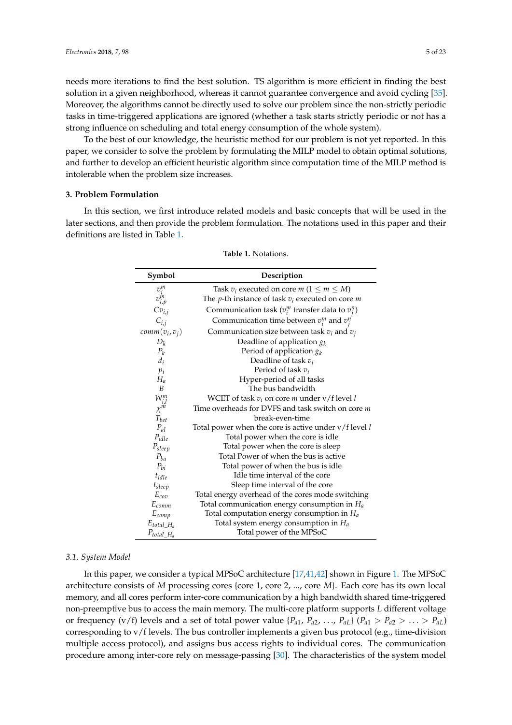needs more iterations to find the best solution. TS algorithm is more efficient in finding the best solution in a given neighborhood, whereas it cannot guarantee convergence and avoid cycling [\[35\]](#page-21-16). Moreover, the algorithms cannot be directly used to solve our problem since the non-strictly periodic tasks in time-triggered applications are ignored (whether a task starts strictly periodic or not has a strong influence on scheduling and total energy consumption of the whole system).

To the best of our knowledge, the heuristic method for our problem is not yet reported. In this paper, we consider to solve the problem by formulating the MILP model to obtain optimal solutions, and further to develop an efficient heuristic algorithm since computation time of the MILP method is intolerable when the problem size increases.

# <span id="page-4-0"></span>**3. Problem Formulation**

<span id="page-4-1"></span>In this section, we first introduce related models and basic concepts that will be used in the later sections, and then provide the problem formulation. The notations used in this paper and their definitions are listed in Table [1.](#page-4-1)

| Symbol               | Description                                                       |
|----------------------|-------------------------------------------------------------------|
|                      | Task $v_i$ executed on core m ( $1 \le m \le M$ )                 |
| $v^m_i \\ v^m_{i,p}$ | The <i>p</i> -th instance of task $v_i$ executed on core <i>m</i> |
| $Cv_{i,j}$           | Communication task ( $v_i^m$ transfer data to $v_i^n$ )           |
| $C_{i,j}$            | Communication time between $v_i^m$ and $v_i^n$                    |
| $comm(v_i, v_j)$     | Communication size between task $v_i$ and $v_j$                   |
| $D_k$                | Deadline of application $g_k$                                     |
| $P_k$                | Period of application $g_k$                                       |
| $d_i$                | Deadline of task $v_i$                                            |
| $p_i$                | Period of task $v_i$                                              |
| $H_a$                | Hyper-period of all tasks                                         |
| B                    | The bus bandwidth                                                 |
|                      | WCET of task $v_i$ on core m under $v/f$ level l                  |
| $W_{i,l}^m \chi^m$   | Time overheads for DVFS and task switch on core m                 |
| $T_{bet}$            | break-even-time                                                   |
| $P_{al}$             | Total power when the core is active under $v/f$ level $l$         |
| $P_{idle}$           | Total power when the core is idle                                 |
| $P_{sleep}$          | Total power when the core is sleep                                |
| $P_{ba}$             | Total Power of when the bus is active                             |
| $P_{bi}$             | Total power of when the bus is idle                               |
| $t_{idle}$           | Idle time interval of the core                                    |
| $t_{sleep}$          | Sleep time interval of the core                                   |
| $E_{\text{cor}}$     | Total energy overhead of the cores mode switching                 |
| $E_{comm}$           | Total communication energy consumption in $H_a$                   |
| $E_{comp}$           | Total computation energy consumption in $H_a$                     |
| $E_{total\_H_a}$     | Total system energy consumption in $H_a$                          |
| $P_{total\_H_a}$     | Total power of the MPSoC                                          |

**Table 1.** Notations.

#### *3.1. System Model*

In this paper, we consider a typical MPSoC architecture [\[17,](#page-21-13)[41,](#page-22-1)[42\]](#page-22-2) shown in Figure [1.](#page-5-0) The MPSoC architecture consists of *M* processing cores {core 1, core 2, ..., core *M*}. Each core has its own local memory, and all cores perform inter-core communication by a high bandwidth shared time-triggered non-preemptive bus to access the main memory. The multi-core platform supports *L* different voltage or frequency (v/f) levels and a set of total power value  $\{P_{a1}, P_{a2}, \ldots, P_{aL}\}$  ( $P_{a1} > P_{a2} > \ldots > P_{aL}$ ) corresponding to v/f levels. The bus controller implements a given bus protocol (e.g., time-division multiple access protocol), and assigns bus access rights to individual cores. The communication procedure among inter-core rely on message-passing [\[30\]](#page-21-14). The characteristics of the system model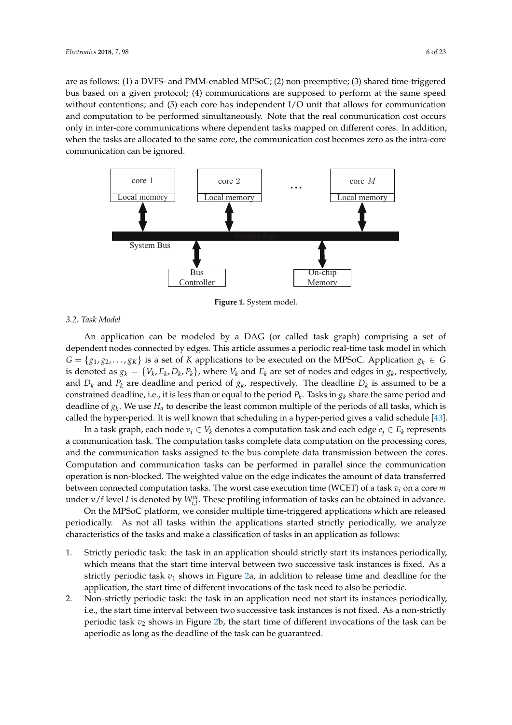are as follows: (1) a DVFS- and PMM-enabled MPSoC; (2) non-preemptive; (3) shared time-triggered bus based on a given protocol; (4) communications are supposed to perform at the same speed without contentions; and (5) each core has independent I/O unit that allows for communication and computation to be performed simultaneously. Note that the real communication cost occurs only in inter-core communications where dependent tasks mapped on different cores. In addition, when the tasks are allocated to the same core, the communication cost becomes zero as the intra-core communication can be ignored.

<span id="page-5-0"></span>

**Figure 1.** System model.

# *3.2. Task Model*

An application can be modeled by a DAG (or called task graph) comprising a set of dependent nodes connected by edges. This article assumes a periodic real-time task model in which  $G = \{g_1, g_2, \ldots, g_K\}$  is a set of *K* applications to be executed on the MPSoC. Application  $g_k \in G$ is denoted as  $g_k = \{V_k, E_k, D_k, P_k\}$ , where  $V_k$  and  $E_k$  are set of nodes and edges in  $g_k$ , respectively, and  $D_k$  and  $P_k$  are deadline and period of  $g_k$ , respectively. The deadline  $D_k$  is assumed to be a constrained deadline, i.e., it is less than or equal to the period *P<sup>k</sup>* . Tasks in *g<sup>k</sup>* share the same period and deadline of *g<sup>k</sup>* . We use *H<sup>a</sup>* to describe the least common multiple of the periods of all tasks, which is called the hyper-period. It is well known that scheduling in a hyper-period gives a valid schedule [\[43\]](#page-22-3).

In a task graph, each node  $v_i \in V_k$  denotes a computation task and each edge  $e_j \in E_k$  represents a communication task. The computation tasks complete data computation on the processing cores, and the communication tasks assigned to the bus complete data transmission between the cores. Computation and communication tasks can be performed in parallel since the communication operation is non-blocked. The weighted value on the edge indicates the amount of data transferred between connected computation tasks. The worst case execution time (WCET) of a task *v<sup>i</sup>* on a core *m* under  $v$  / f level *l* is denoted by  $W_{i,l}^m$ . These profiling information of tasks can be obtained in advance.

On the MPSoC platform, we consider multiple time-triggered applications which are released periodically. As not all tasks within the applications started strictly periodically, we analyze characteristics of the tasks and make a classification of tasks in an application as follows:

- 1. Strictly periodic task: the task in an application should strictly start its instances periodically, which means that the start time interval between two successive task instances is fixed. As a strictly periodic task  $v_1$  shows in Figure [2a](#page-6-0), in addition to release time and deadline for the application, the start time of different invocations of the task need to also be periodic.
- 2. Non-strictly periodic task: the task in an application need not start its instances periodically, i.e., the start time interval between two successive task instances is not fixed. As a non-strictly periodic task *v*<sup>2</sup> shows in Figure [2b](#page-6-0), the start time of different invocations of the task can be aperiodic as long as the deadline of the task can be guaranteed.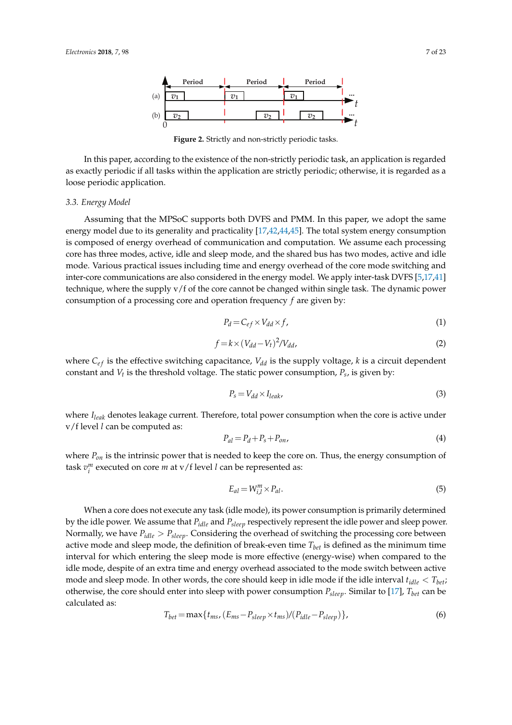<span id="page-6-0"></span>

**Figure 2.** Strictly and non-strictly periodic tasks.

In this paper, according to the existence of the non-strictly periodic task, an application is regarded as exactly periodic if all tasks within the application are strictly periodic; otherwise, it is regarded as a loose periodic application.

## <span id="page-6-1"></span>*3.3. Energy Model*

Assuming that the MPSoC supports both DVFS and PMM. In this paper, we adopt the same energy model due to its generality and practicality [\[17](#page-21-13)[,42,](#page-22-2)[44,](#page-22-4)[45\]](#page-22-5). The total system energy consumption is composed of energy overhead of communication and computation. We assume each processing core has three modes, active, idle and sleep mode, and the shared bus has two modes, active and idle mode. Various practical issues including time and energy overhead of the core mode switching and inter-core communications are also considered in the energy model. We apply inter-task DVFS [\[5,](#page-20-4)[17,](#page-21-13)[41\]](#page-22-1) technique, where the supply v/f of the core cannot be changed within single task. The dynamic power consumption of a processing core and operation frequency *f* are given by:

$$
P_d = C_{ef} \times V_{dd} \times f,\tag{1}
$$

$$
f = k \times (V_{dd} - V_t)^2 / V_{dd}, \tag{2}
$$

where  $C_{ef}$  is the effective switching capacitance,  $V_{dd}$  is the supply voltage, *k* is a circuit dependent constant and  $V_t$  is the threshold voltage. The static power consumption,  $P_s$ , is given by:

$$
P_s = V_{dd} \times I_{leak},\tag{3}
$$

where *Ileak* denotes leakage current. Therefore, total power consumption when the core is active under v/f level *l* can be computed as:

$$
P_{al} = P_d + P_s + P_{on},\tag{4}
$$

where *Pon* is the intrinsic power that is needed to keep the core on. Thus, the energy consumption of task  $v_i^m$  executed on core  $m$  at v/f level  $l$  can be represented as:

$$
E_{al} = W_{i,l}^m \times P_{al}.\tag{5}
$$

When a core does not execute any task (idle mode), its power consumption is primarily determined by the idle power. We assume that *Pidle* and *Psleep* respectively represent the idle power and sleep power. Normally, we have *Pidle* > *Psleep*. Considering the overhead of switching the processing core between active mode and sleep mode, the definition of break-even time *Tbet* is defined as the minimum time interval for which entering the sleep mode is more effective (energy-wise) when compared to the idle mode, despite of an extra time and energy overhead associated to the mode switch between active mode and sleep mode. In other words, the core should keep in idle mode if the idle interval *tidle* < *Tbet*; otherwise, the core should enter into sleep with power consumption *Psleep*. Similar to [\[17\]](#page-21-13), *Tbet* can be calculated as:

$$
T_{bet} = \max\{t_{ms}, (E_{ms} - P_{sleep} \times t_{ms})/(P_{idle} - P_{sleep})\},\tag{6}
$$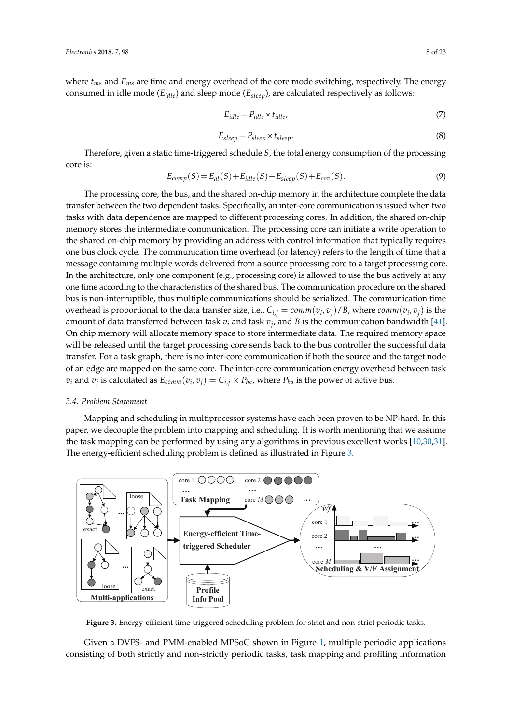where *tms* and *Ems* are time and energy overhead of the core mode switching, respectively. The energy consumed in idle mode (*Eidle*) and sleep mode (*Esleep*), are calculated respectively as follows:

$$
E_{idle} = P_{idle} \times t_{idle}, \tag{7}
$$

$$
E_{sleep} = P_{sleep} \times t_{sleep}.\tag{8}
$$

Therefore, given a static time-triggered schedule *S*, the total energy consumption of the processing core is:

$$
E_{comp}(S) = E_{al}(S) + E_{idle}(S) + E_{sleep}(S) + E_{cov}(S).
$$
\n(9)

The processing core, the bus, and the shared on-chip memory in the architecture complete the data transfer between the two dependent tasks. Specifically, an inter-core communication is issued when two tasks with data dependence are mapped to different processing cores. In addition, the shared on-chip memory stores the intermediate communication. The processing core can initiate a write operation to the shared on-chip memory by providing an address with control information that typically requires one bus clock cycle. The communication time overhead (or latency) refers to the length of time that a message containing multiple words delivered from a source processing core to a target processing core. In the architecture, only one component (e.g., processing core) is allowed to use the bus actively at any one time according to the characteristics of the shared bus. The communication procedure on the shared bus is non-interruptible, thus multiple communications should be serialized. The communication time overhead is proportional to the data transfer size, i.e.,  $C_{i,j} = comm(v_i, v_j)/B$ , where  $comm(v_i, v_j)$  is the amount of data transferred between task *v<sup>i</sup>* and task *v<sup>j</sup>* , and *B* is the communication bandwidth [\[41\]](#page-22-1). On chip memory will allocate memory space to store intermediate data. The required memory space will be released until the target processing core sends back to the bus controller the successful data transfer. For a task graph, there is no inter-core communication if both the source and the target node of an edge are mapped on the same core. The inter-core communication energy overhead between task  $v_i$  and  $v_j$  is calculated as  $E_{comm}(v_i,v_j) = C_{i,j} \times P_{ba}$ , where  $P_{ba}$  is the power of active bus.

# *3.4. Problem Statement*

Mapping and scheduling in multiprocessor systems have each been proven to be NP-hard. In this paper, we decouple the problem into mapping and scheduling. It is worth mentioning that we assume the task mapping can be performed by using any algorithms in previous excellent works [\[10,](#page-20-13)[30,](#page-21-14)[31\]](#page-21-20). The energy-efficient scheduling problem is defined as illustrated in Figure [3.](#page-7-0)

<span id="page-7-0"></span>

**Figure 3.** Energy-efficient time-triggered scheduling problem for strict and non-strict periodic tasks.

Given a DVFS- and PMM-enabled MPSoC shown in Figure [1,](#page-5-0) multiple periodic applications consisting of both strictly and non-strictly periodic tasks, task mapping and profiling information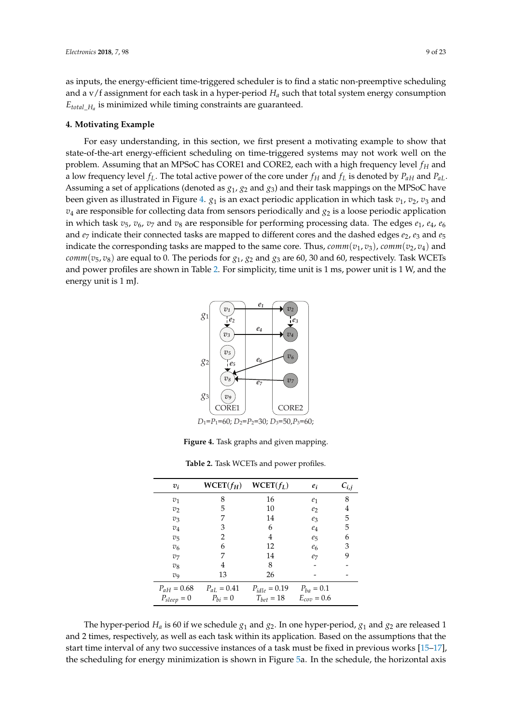as inputs, the energy-efficient time-triggered scheduler is to find a static non-preemptive scheduling and a  $v$ /f assignment for each task in a hyper-period  $H_a$  such that total system energy consumption *Etotal*\_*H<sup>a</sup>* is minimized while timing constraints are guaranteed.

## <span id="page-8-0"></span>**4. Motivating Example**

For easy understanding, in this section, we first present a motivating example to show that state-of-the-art energy-efficient scheduling on time-triggered systems may not work well on the problem. Assuming that an MPSoC has CORE1 and CORE2, each with a high frequency level *f<sup>H</sup>* and a low frequency level  $f_L$ . The total active power of the core under  $f_H$  and  $f_L$  is denoted by  $P_{aH}$  and  $P_{aL}$ . Assuming a set of applications (denoted as *g*1, *g*<sup>2</sup> and *g*3) and their task mappings on the MPSoC have been given as illustrated in Figure [4.](#page-8-1)  $g_1$  is an exact periodic application in which task  $v_1$ ,  $v_2$ ,  $v_3$  and  $v_4$  are responsible for collecting data from sensors periodically and  $g_2$  is a loose periodic application in which task  $v_5$ ,  $v_6$ ,  $v_7$  and  $v_8$  are responsible for performing processing data. The edges  $e_1$ ,  $e_4$ ,  $e_6$ and  $e_7$  indicate their connected tasks are mapped to different cores and the dashed edges  $e_2$ ,  $e_3$  and  $e_5$ indicate the corresponding tasks are mapped to the same core. Thus,  $comm(v_1, v_3)$ ,  $comm(v_2, v_4)$  and *comm*( $v_5$ ,  $v_8$ ) are equal to 0. The periods for  $g_1$ ,  $g_2$  and  $g_3$  are 60, 30 and 60, respectively. Task WCETs and power profiles are shown in Table [2.](#page-8-2) For simplicity, time unit is 1 ms, power unit is 1 W, and the energy unit is 1 mJ.

<span id="page-8-1"></span>

*D*<sub>1</sub>=*P*<sub>1</sub>=60; *D*<sub>2</sub>=*P*<sub>2</sub>=30; *D*<sub>3</sub>=50,*P*<sub>3</sub>=60;

**Figure 4.** Task graphs and given mapping.

**Table 2.** Task WCETs and power profiles.

<span id="page-8-2"></span>

| $v_i$                      | $WCET(f_H)$     | $WCET(f_L)$       | $e_i$            | $c_{i,j}$ |
|----------------------------|-----------------|-------------------|------------------|-----------|
| $v_1$                      | 8               | 16                | e <sub>1</sub>   | 8         |
| $v_2$                      | 5               | 10                | e <sub>2</sub>   | 4         |
| $v_3$                      |                 | 14                | $\mathfrak{e}_3$ | 5         |
| $v_4$                      | 3               | 6                 | $e_4$            | 5         |
| $v_{5}$                    | 2               | 4                 | $e_5$            | 6         |
| $v_6$                      | 6               | 12                | e <sub>6</sub>   | 3         |
| v <sub>7</sub>             | 7               | 14                | e <sub>7</sub>   | 9         |
| $v_8$                      | 4               | 8                 |                  |           |
| $\mathcal{D}_{\mathbf{Q}}$ | 13              | 26                |                  |           |
| $P_{aH} = 0.68$            | $P_{aL} = 0.41$ | $P_{idle} = 0.19$ | $P_{ba} = 0.1$   |           |
| $P_{sleep} = 0$            | $P_{bi} = 0$    | $T_{bet} = 18$    | $E_{cov} = 0.6$  |           |

The hyper-period  $H_a$  is 60 if we schedule  $g_1$  and  $g_2$ . In one hyper-period,  $g_1$  and  $g_2$  are released 1 and 2 times, respectively, as well as each task within its application. Based on the assumptions that the start time interval of any two successive instances of a task must be fixed in previous works [\[15](#page-20-12)[–17\]](#page-21-13), the scheduling for energy minimization is shown in Figure [5a](#page-9-1). In the schedule, the horizontal axis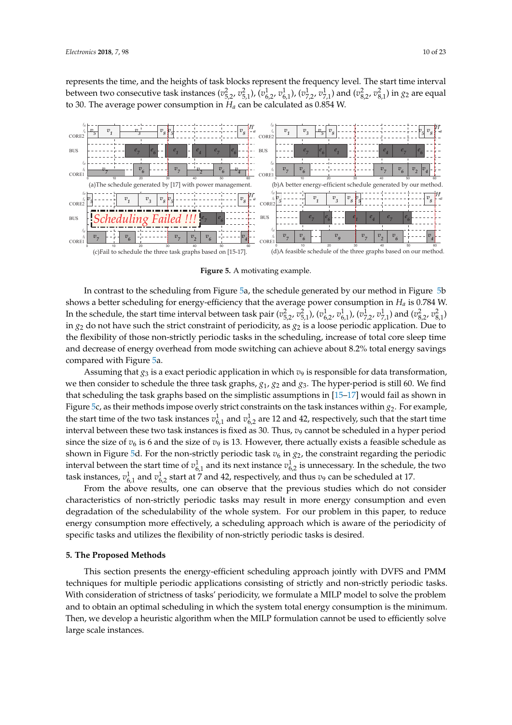represents the time, and the heights of task blocks represent the frequency level. The start time interval between two consecutive task instances  $(v_{5,2}^2, v_{5,1}^2)$ ,  $(v_{6,2}^1, v_{6,1}^1)$ ,  $(v_{7,2}^1, v_{7,1}^1)$  and  $(v_{8,2}^2, v_{8,1}^2)$  in  $g_2$  are equal to 30. The average power consumption in *H<sup>a</sup>* can be calculated as 0.854 W.

<span id="page-9-1"></span>

**Figure 5.** A motivating example.

In contrast to the scheduling from Figure [5a](#page-9-1), the schedule generated by our method in Figure [5b](#page-9-1) shows a better scheduling for energy-efficiency that the average power consumption in *H<sup>a</sup>* is 0.784 W. In the schedule, the start time interval between task pair  $(v_{5,2}^2, v_{5,1}^2)$ ,  $(v_{6,2}^1, v_{6,1}^1)$ ,  $(v_{7,2}^1, v_{7,1}^1)$  and  $(v_{8,2}^2, v_{8,1}^2)$ in  $g_2$  do not have such the strict constraint of periodicity, as  $g_2$  is a loose periodic application. Due to the flexibility of those non-strictly periodic tasks in the scheduling, increase of total core sleep time and decrease of energy overhead from mode switching can achieve about 8.2% total energy savings compared with Figure [5a](#page-9-1).

Assuming that  $g_3$  is a exact periodic application in which  $v_9$  is responsible for data transformation, we then consider to schedule the three task graphs, *g*1, *g*<sup>2</sup> and *g*3. The hyper-period is still 60. We find that scheduling the task graphs based on the simplistic assumptions in [\[15–](#page-20-12)[17\]](#page-21-13) would fail as shown in Figure [5c](#page-9-1), as their methods impose overly strict constraints on the task instances within *g*2. For example, the start time of the two task instances  $v_{6,1}^1$  and  $v_{6,2}^1$  are 12 and 42, respectively, such that the start time interval between these two task instances is fixed as 30. Thus,  $v_9$  cannot be scheduled in a hyper period since the size of  $v_6$  is 6 and the size of  $v_9$  is 13. However, there actually exists a feasible schedule as shown in Figure [5d](#page-9-1). For the non-strictly periodic task  $v_6$  in  $g_2$ , the constraint regarding the periodic interval between the start time of  $v_{6,1}^1$  and its next instance  $v_{6,2}^1$  is unnecessary. In the schedule, the two task instances,  $v_{6,1}^1$  and  $v_{6,2}^1$  start at 7 and 42, respectively, and thus  $v_9$  can be scheduled at 17.

From the above results, one can observe that the previous studies which do not consider characteristics of non-strictly periodic tasks may result in more energy consumption and even degradation of the schedulability of the whole system. For our problem in this paper, to reduce energy consumption more effectively, a scheduling approach which is aware of the periodicity of specific tasks and utilizes the flexibility of non-strictly periodic tasks is desired.

#### <span id="page-9-0"></span>**5. The Proposed Methods**

This section presents the energy-efficient scheduling approach jointly with DVFS and PMM techniques for multiple periodic applications consisting of strictly and non-strictly periodic tasks. With consideration of strictness of tasks' periodicity, we formulate a MILP model to solve the problem and to obtain an optimal scheduling in which the system total energy consumption is the minimum. Then, we develop a heuristic algorithm when the MILP formulation cannot be used to efficiently solve large scale instances.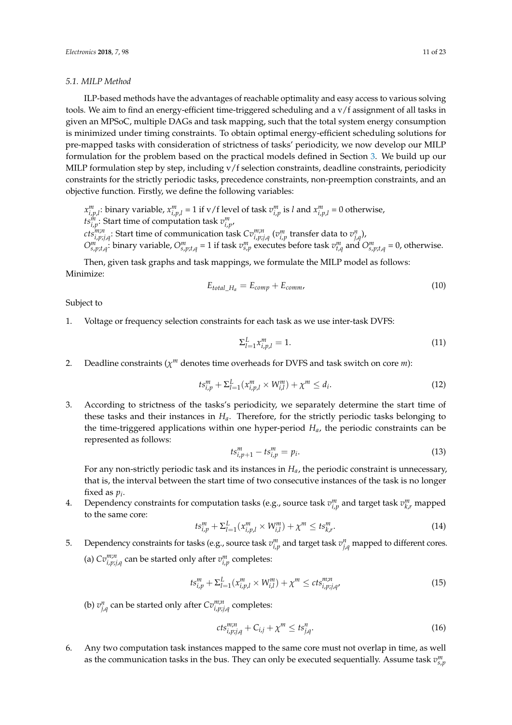## <span id="page-10-0"></span>*5.1. MILP Method*

ILP-based methods have the advantages of reachable optimality and easy access to various solving tools. We aim to find an energy-efficient time-triggered scheduling and a v/f assignment of all tasks in given an MPSoC, multiple DAGs and task mapping, such that the total system energy consumption is minimized under timing constraints. To obtain optimal energy-efficient scheduling solutions for pre-mapped tasks with consideration of strictness of tasks' periodicity, we now develop our MILP formulation for the problem based on the practical models defined in Section [3.](#page-4-0) We build up our MILP formulation step by step, including v/f selection constraints, deadline constraints, periodicity constraints for the strictly periodic tasks, precedence constraints, non-preemption constraints, and an objective function. Firstly, we define the following variables:

 $x_{i,p,l}^m$ : binary variable,  $x_{i,p,l}^m = 1$  if v/f level of task  $v_{i,p}^m$  is l and  $x_{i,p,l}^m = 0$  otherwise, *ts*<sup>*m*</sup><sub>*i*</sub>, **Start time of computation task**  $v^m_{i,p}$ ,

 $cts_{i,p;j,q}^{m;n}$ : Start time of communication task  $Cv_{i,p;j,q}^{m;n}$   $(v_{i,p}^m$  transfer data to  $v_{j,q}^n$ ),

 $O_{s,p;t,q}^{m}$ : binary variable,  $O_{s,p;t,q}^{m}$  = 1 if task  $v_{s,p}^{m}$  executes before task  $v_{t,q}^{m}$  and  $O_{s,p;t,q}^{m}$  = 0, otherwise.

Then, given task graphs and task mappings, we formulate the MILP model as follows: Minimize:

$$
E_{total\_H_a} = E_{comp} + E_{comm}
$$
\n
$$
(10)
$$

Subject to

1. Voltage or frequency selection constraints for each task as we use inter-task DVFS:

$$
\sum_{l=1}^{L} x_{i,p,l}^{m} = 1.
$$
\n(11)

2. Deadline constraints  $(\chi^m)$  denotes time overheads for DVFS and task switch on core *m*):

$$
ts_{i,p}^{m} + \Sigma_{l=1}^{L} (x_{i,p,l}^{m} \times W_{i,l}^{m}) + \chi^{m} \le d_{i}.
$$
 (12)

3. According to strictness of the tasks's periodicity, we separately determine the start time of these tasks and their instances in *Ha*. Therefore, for the strictly periodic tasks belonging to the time-triggered applications within one hyper-period *Ha*, the periodic constraints can be represented as follows:

$$
ts_{i,p+1}^m - ts_{i,p}^m = p_i.
$$
 (13)

For any non-strictly periodic task and its instances in *Ha*, the periodic constraint is unnecessary, that is, the interval between the start time of two consecutive instances of the task is no longer fixed as  $p_i$ .

4. Dependency constraints for computation tasks (e.g., source task  $v_{i,p}^m$  and target task  $v_{k,r}^m$  mapped to the same core:

$$
ts_{i,p}^{m} + \Sigma_{l=1}^{L} (x_{i,p,l}^{m} \times W_{i,l}^{m}) + \chi^{m} \leq ts_{k,r}^{m}.
$$
 (14)

5. Dependency constraints for tasks (e.g., source task  $v_{i,p}^m$  and target task  $v_{j,q}^n$  mapped to different cores. (a)  $Cv^{\{m,n\}}_{i,p;j,q}$  can be started only after  $v^{\{m\}}_{i,p}$  completes:

$$
ts_{i,p}^{m} + \Sigma_{l=1}^{L} (x_{i,p,l}^{m} \times W_{i,l}^{m}) + \chi^{m} \leq cts_{i,p;j,q}^{m;n}
$$
\n(15)

(b)  $v_{j,q}^n$  can be started only after  $Cv_{i,p;j,q}^{m;n}$  completes:

$$
cts_{i,p;j,q}^{m;n}+C_{i,j}+\chi^m\leq ts_{j,q}^n.
$$
 (16)

6. Any two computation task instances mapped to the same core must not overlap in time, as well as the communication tasks in the bus. They can only be executed sequentially. Assume task  $v_{s,p}^m$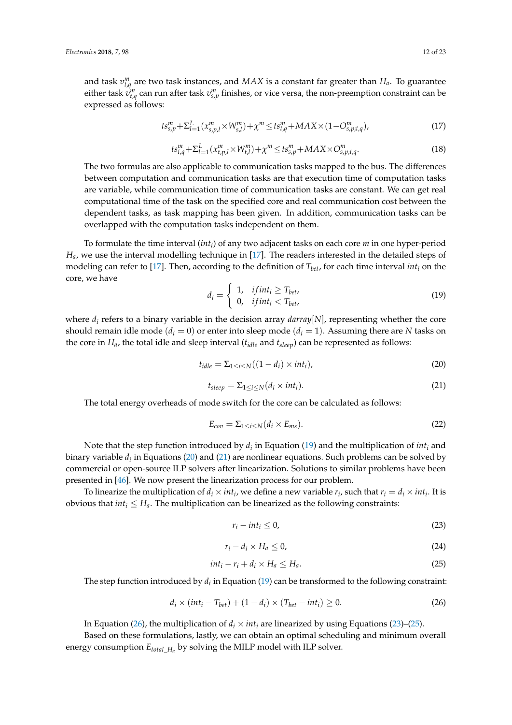and task  $v_{t,q}^m$  are two task instances, and  $MAX$  is a constant far greater than  $H_a$ . To guarantee either task  $v^m_{t,q}$  can run after task  $v^m_{s,p}$  finishes, or vice versa, the non-preemption constraint can be expressed as follows:

$$
ts_{s,p}^{m} + \Sigma_{l=1}^{L} (x_{s,p,l}^{m} \times W_{s,l}^{m}) + \chi^{m} \le ts_{t,q}^{m} + MAX \times (1 - O_{s,p;t,q}^{m}), \tag{17}
$$

$$
ts_{t,q}^{m} + \sum_{l=1}^{L} (x_{t,p,l}^{m} \times W_{t,l}^{m}) + \chi^{m} \le ts_{s,p}^{m} + MAX \times O_{s,p;t,q}^{m}.
$$
\n(18)

The two formulas are also applicable to communication tasks mapped to the bus. The differences between computation and communication tasks are that execution time of computation tasks are variable, while communication time of communication tasks are constant. We can get real computational time of the task on the specified core and real communication cost between the dependent tasks, as task mapping has been given. In addition, communication tasks can be overlapped with the computation tasks independent on them.

To formulate the time interval (*int<sup>i</sup>* ) of any two adjacent tasks on each core *m* in one hyper-period *Ha*, we use the interval modelling technique in [\[17\]](#page-21-13). The readers interested in the detailed steps of modeling can refer to [\[17\]](#page-21-13). Then, according to the definition of *Tbet*, for each time interval *int<sup>i</sup>* on the core, we have

<span id="page-11-0"></span>
$$
d_i = \begin{cases} 1, & if int_i \ge T_{bet}, \\ 0, & if int_i < T_{bet}, \end{cases}
$$
 (19)

where *d<sup>i</sup>* refers to a binary variable in the decision array *darray*[*N*], representing whether the core should remain idle mode  $(d_i = 0)$  or enter into sleep mode  $(d_i = 1)$ . Assuming there are *N* tasks on the core in *Ha*, the total idle and sleep interval (*tidle* and *tsleep*) can be represented as follows:

<span id="page-11-1"></span>
$$
t_{idle} = \sum_{1 \le i \le N} ((1 - d_i) \times int_i), \tag{20}
$$

<span id="page-11-2"></span>
$$
t_{sleep} = \sum_{1 \le i \le N} (d_i \times int_i). \tag{21}
$$

The total energy overheads of mode switch for the core can be calculated as follows:

$$
E_{cov} = \sum_{1 \le i \le N} (d_i \times E_{ms}). \tag{22}
$$

Note that the step function introduced by *d<sup>i</sup>* in Equation [\(19\)](#page-11-0) and the multiplication of *int<sup>i</sup>* and binary variable  $d_i$  in Equations [\(20\)](#page-11-1) and [\(21\)](#page-11-2) are nonlinear equations. Such problems can be solved by commercial or open-source ILP solvers after linearization. Solutions to similar problems have been presented in [\[46\]](#page-22-6). We now present the linearization process for our problem.

To linearize the multiplication of  $d_i \times int_i$ , we define a new variable  $r_i$ , such that  $r_i = d_i \times int_i$ . It is obvious that  $int_i \leq H_a$ . The multiplication can be linearized as the following constraints:

<span id="page-11-4"></span>
$$
r_i - int_i \le 0,\tag{23}
$$

$$
r_i - d_i \times H_a \leq 0,\tag{24}
$$

<span id="page-11-5"></span>
$$
int_i - r_i + d_i \times H_a \le H_a. \tag{25}
$$

The step function introduced by  $d_i$  in Equation [\(19\)](#page-11-0) can be transformed to the following constraint:

<span id="page-11-3"></span>
$$
d_i \times (int_i - T_{bet}) + (1 - d_i) \times (T_{bet} - int_i) \ge 0.
$$
 (26)

In Equation [\(26\)](#page-11-3), the multiplication of  $d_i \times int_i$  are linearized by using Equations [\(23\)](#page-11-4)–[\(25\)](#page-11-5).

Based on these formulations, lastly, we can obtain an optimal scheduling and minimum overall energy consumption *Etotal*\_*H<sup>a</sup>* by solving the MILP model with ILP solver.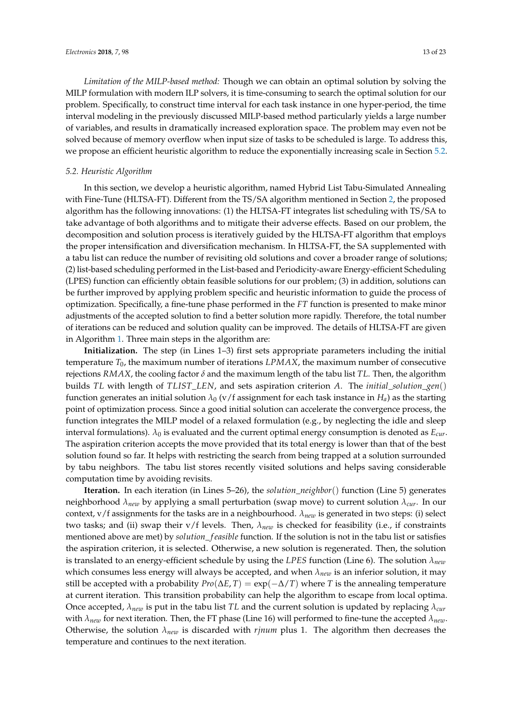*Limitation of the MILP-based method:* Though we can obtain an optimal solution by solving the MILP formulation with modern ILP solvers, it is time-consuming to search the optimal solution for our problem. Specifically, to construct time interval for each task instance in one hyper-period, the time interval modeling in the previously discussed MILP-based method particularly yields a large number of variables, and results in dramatically increased exploration space. The problem may even not be solved because of memory overflow when input size of tasks to be scheduled is large. To address this, we propose an efficient heuristic algorithm to reduce the exponentially increasing scale in Section [5.2.](#page-12-0)

# <span id="page-12-0"></span>*5.2. Heuristic Algorithm*

In this section, we develop a heuristic algorithm, named Hybrid List Tabu-Simulated Annealing with Fine-Tune (HLTSA-FT). Different from the TS/SA algorithm mentioned in Section [2,](#page-2-0) the proposed algorithm has the following innovations: (1) the HLTSA-FT integrates list scheduling with TS/SA to take advantage of both algorithms and to mitigate their adverse effects. Based on our problem, the decomposition and solution process is iteratively guided by the HLTSA-FT algorithm that employs the proper intensification and diversification mechanism. In HLTSA-FT, the SA supplemented with a tabu list can reduce the number of revisiting old solutions and cover a broader range of solutions; (2) list-based scheduling performed in the List-based and Periodicity-aware Energy-efficient Scheduling (LPES) function can efficiently obtain feasible solutions for our problem; (3) in addition, solutions can be further improved by applying problem specific and heuristic information to guide the process of optimization. Specifically, a fine-tune phase performed in the *FT* function is presented to make minor adjustments of the accepted solution to find a better solution more rapidly. Therefore, the total number of iterations can be reduced and solution quality can be improved. The details of HLTSA-FT are given in Algorithm [1.](#page-13-0) Three main steps in the algorithm are:

**Initialization.** The step (in Lines 1–3) first sets appropriate parameters including the initial temperature *T*0, the maximum number of iterations *LPMAX*, the maximum number of consecutive rejections *RMAX*, the cooling factor *δ* and the maximum length of the tabu list *TL*. Then, the algorithm builds *TL* with length of *TLIST*\_*LEN*, and sets aspiration criterion *A*. The *initial*\_*solution*\_*gen*() function generates an initial solution  $\lambda_0$  (v/f assignment for each task instance in  $H_a$ ) as the starting point of optimization process. Since a good initial solution can accelerate the convergence process, the function integrates the MILP model of a relaxed formulation (e.g., by neglecting the idle and sleep interval formulations).  $\lambda_0$  is evaluated and the current optimal energy consumption is denoted as  $E_{cur}$ . The aspiration criterion accepts the move provided that its total energy is lower than that of the best solution found so far. It helps with restricting the search from being trapped at a solution surrounded by tabu neighbors. The tabu list stores recently visited solutions and helps saving considerable computation time by avoiding revisits.

**Iteration.** In each iteration (in Lines 5–26), the *solution*\_*neighbor*() function (Line 5) generates neighborhood *λnew* by applying a small perturbation (swap move) to current solution *λcur*. In our context, v/f assignments for the tasks are in a neighbourhood. *λnew* is generated in two steps: (i) select two tasks; and (ii) swap their v/f levels. Then, *λnew* is checked for feasibility (i.e., if constraints mentioned above are met) by *solution\_feasible* function. If the solution is not in the tabu list or satisfies the aspiration criterion, it is selected. Otherwise, a new solution is regenerated. Then, the solution is translated to an energy-efficient schedule by using the *LPES* function (Line 6). The solution *λnew* which consumes less energy will always be accepted, and when *λnew* is an inferior solution, it may still be accepted with a probability  $Pro(\Delta E, T) = \exp(-\Delta/T)$  where *T* is the annealing temperature at current iteration. This transition probability can help the algorithm to escape from local optima. Once accepted, *λnew* is put in the tabu list *TL* and the current solution is updated by replacing *λcur* with *λnew* for next iteration. Then, the FT phase (Line 16) will performed to fine-tune the accepted *λnew*. Otherwise, the solution  $\lambda_{new}$  is discarded with *rjnum* plus 1. The algorithm then decreases the temperature and continues to the next iteration.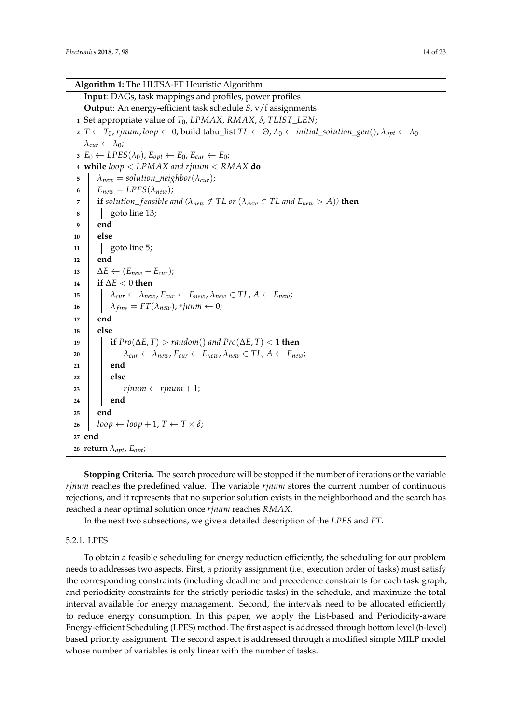<span id="page-13-0"></span>

| <b>Algorithm 1:</b> The HLTSA-FT Heuristic Algorithm                                                                                                                             |
|----------------------------------------------------------------------------------------------------------------------------------------------------------------------------------|
| Input: DAGs, task mappings and profiles, power profiles                                                                                                                          |
| Output: An energy-efficient task schedule S, v/f assignments                                                                                                                     |
| 1 Set appropriate value of $T_0$ , LPMAX, RMAX, $\delta$ , TLIST_LEN;                                                                                                            |
| 2 $T \leftarrow T_0$ , rjnum, loop $\leftarrow 0$ , build tabu_list $TL \leftarrow \Theta$ , $\lambda_0 \leftarrow initial\_solution\_gen(), \lambda_{opt} \leftarrow \lambda_0$ |
| $\lambda_{cur} \leftarrow \lambda_0$ ;                                                                                                                                           |
| $B_0 \leftarrow LPES(\lambda_0), E_{opt} \leftarrow E_0, E_{cur} \leftarrow E_0;$                                                                                                |
| 4 while $loop < LPMAX$ and rjnum $< RMAX$ do                                                                                                                                     |
| $\lambda_{new} = solution\_neighbor(\lambda_{cur});$<br>5                                                                                                                        |
| $E_{new} = LPES(\lambda_{new});$<br>6                                                                                                                                            |
| <b>if</b> solution_feasible and ( $\lambda_{new} \notin TL$ or ( $\lambda_{new} \in TL$ and $E_{new} > A$ )) then<br>7                                                           |
| goto line 13;<br>8                                                                                                                                                               |
| end<br>9                                                                                                                                                                         |
| else<br>10                                                                                                                                                                       |
| goto line 5;<br>11                                                                                                                                                               |
| end<br>12                                                                                                                                                                        |
| $\Delta E \leftarrow (E_{new} - E_{cur});$<br>13                                                                                                                                 |
| if $\Delta E < 0$ then<br>14                                                                                                                                                     |
| $\lambda_{\text{cur}} \leftarrow \lambda_{\text{new}}$ , $E_{\text{cur}} \leftarrow E_{\text{new}}$ , $\lambda_{\text{new}} \in TL$ , $A \leftarrow E_{\text{new}}$ ;<br>15      |
| $\lambda_{fine} = FT(\lambda_{new})$ , rjunm $\leftarrow 0$ ;<br>16                                                                                                              |
| end<br>17                                                                                                                                                                        |
| else<br>18                                                                                                                                                                       |
| <b>if</b> $Pro(\Delta E, T) > random()$ and $Pro(\Delta E, T) < 1$ then<br>19                                                                                                    |
| $\lambda_{\text{cur}} \leftarrow \lambda_{\text{new}}$ , $E_{\text{cur}} \leftarrow E_{\text{new}}$ , $\lambda_{\text{new}} \in TL$ , $A \leftarrow E_{\text{new}}$ ;<br>20      |
| end<br>21                                                                                                                                                                        |
| else<br>22                                                                                                                                                                       |
| $r$ <i>inum</i> $\leftarrow$ $r$ <i>jnum</i> + 1;<br>23                                                                                                                          |
| end<br>24                                                                                                                                                                        |
| end<br>25                                                                                                                                                                        |
| $loop \leftarrow loop + 1, T \leftarrow T \times \delta;$<br>26                                                                                                                  |
| 27 end                                                                                                                                                                           |
| 28 return $\lambda_{opt}$ , $E_{opt}$ ;                                                                                                                                          |

**Stopping Criteria.** The search procedure will be stopped if the number of iterations or the variable *rjnum* reaches the predefined value. The variable *rjnum* stores the current number of continuous rejections, and it represents that no superior solution exists in the neighborhood and the search has reached a near optimal solution once *rjnum* reaches *RMAX*.

In the next two subsections, we give a detailed description of the *LPES* and *FT*.

# 5.2.1. LPES

To obtain a feasible scheduling for energy reduction efficiently, the scheduling for our problem needs to addresses two aspects. First, a priority assignment (i.e., execution order of tasks) must satisfy the corresponding constraints (including deadline and precedence constraints for each task graph, and periodicity constraints for the strictly periodic tasks) in the schedule, and maximize the total interval available for energy management. Second, the intervals need to be allocated efficiently to reduce energy consumption. In this paper, we apply the List-based and Periodicity-aware Energy-efficient Scheduling (LPES) method. The first aspect is addressed through bottom level (b-level) based priority assignment. The second aspect is addressed through a modified simple MILP model whose number of variables is only linear with the number of tasks.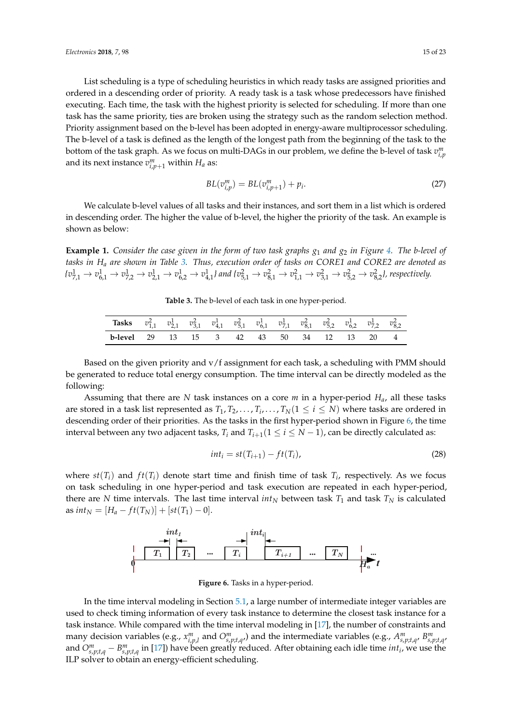List scheduling is a type of scheduling heuristics in which ready tasks are assigned priorities and ordered in a descending order of priority. A ready task is a task whose predecessors have finished executing. Each time, the task with the highest priority is selected for scheduling. If more than one task has the same priority, ties are broken using the strategy such as the random selection method. Priority assignment based on the b-level has been adopted in energy-aware multiprocessor scheduling. The b-level of a task is defined as the length of the longest path from the beginning of the task to the bottom of the task graph. As we focus on multi-DAGs in our problem, we define the b-level of task  $v_{i,p}^m$ and its next instance  $v_{i,p+1}^m$  within  $H_a$  as:

$$
BL(v_{i,p}^m) = BL(v_{i,p+1}^m) + p_i.
$$
 (27)

We calculate b-level values of all tasks and their instances, and sort them in a list which is ordered in descending order. The higher the value of b-level, the higher the priority of the task. An example is shown as below:

<span id="page-14-2"></span><span id="page-14-0"></span>**Example 1.** *Consider the case given in the form of two task graphs*  $g_1$  *and*  $g_2$  *in Figure* [4.](#page-8-1) *The b-level of tasks in H<sup>a</sup> are shown in Table [3.](#page-14-0) Thus, execution order of tasks on CORE1 and CORE2 are denoted as*  $\{v_{7,1}^1\to v_{6,1}^1\to v_{7,2}^1\to v_{2,1}^1\to v_{6,2}^1\to v_{4,1}^1\}$  and  $\{v_{5,1}^2\to v_{8,1}^2\to v_{1,1}^2\to v_{3,1}^2\to v_{5,2}^2\to v_{8,2}^2\}$ , respectively.

**Table 3.** The b-level of each task in one hyper-period.

| <b>Tasks</b> $v_{1,1}^2$ $v_{2,1}^1$ $v_{3,1}^2$ $v_{4,1}^1$ $v_{5,1}^2$ $v_{6,1}^1$ $v_{7,1}^1$ $v_{8,1}^2$ $v_{5,2}^2$ $v_{6,2}^1$ $v_{7,2}^1$ $v_{8,2}^2$ |  |  |  |  |  |  |
|--------------------------------------------------------------------------------------------------------------------------------------------------------------|--|--|--|--|--|--|
| <b>b-level</b> 29 13 15 3 42 43 50 34 12 13 20 4                                                                                                             |  |  |  |  |  |  |

Based on the given priority and v/f assignment for each task, a scheduling with PMM should be generated to reduce total energy consumption. The time interval can be directly modeled as the following:

Assuming that there are *N* task instances on a core *m* in a hyper-period *Ha*, all these tasks are stored in a task list represented as  $T_1, T_2, \ldots, T_i, \ldots, T_N (1 \leq i \leq N)$  where tasks are ordered in descending order of their priorities. As the tasks in the first hyper-period shown in Figure [6,](#page-14-1) the time interval between any two adjacent tasks,  $T_i$  and  $T_{i+1}$  ( $1 \le i \le N-1$ ), can be directly calculated as:

$$
int_i = st(T_{i+1}) - ft(T_i), \qquad (28)
$$

<span id="page-14-1"></span>where  $st(T_i)$  and  $ft(T_i)$  denote start time and finish time of task  $T_i$ , respectively. As we focus on task scheduling in one hyper-period and task execution are repeated in each hyper-period, there are *N* time intervals. The last time interval  $int_N$  between task  $T_1$  and task  $T_N$  is calculated  $\text{as } \text{int}_N = [H_a - ft(T_N)] + [st(T_1) - 0].$ 



**Figure 6.** Tasks in a hyper-period.

In the time interval modeling in Section [5.1,](#page-10-0) a large number of intermediate integer variables are used to check timing information of every task instance to determine the closest task instance for a task instance. While compared with the time interval modeling in [\[17\]](#page-21-13), the number of constraints and many decision variables (e.g.,  $x_{i,p,l}^m$  and  $O_{s,p;t,q}^m$ ) and the intermediate variables (e.g.,  $A_{s,p;t,q}^m$ ,  $B_{s,p;t,q}^m$ and  $O^m_{s,p;t,q} - B^m_{s,p;t,q}$  in [\[17\]](#page-21-13)) have been greatly reduced. After obtaining each idle time *int<sub>i</sub>*, we use the ILP solver to obtain an energy-efficient scheduling.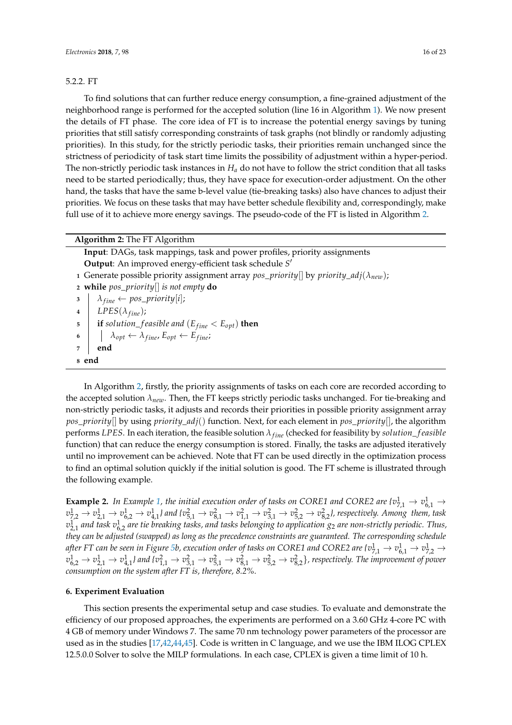# 5.2.2. FT

To find solutions that can further reduce energy consumption, a fine-grained adjustment of the neighborhood range is performed for the accepted solution (line 16 in Algorithm [1\)](#page-13-0). We now present the details of FT phase. The core idea of FT is to increase the potential energy savings by tuning priorities that still satisfy corresponding constraints of task graphs (not blindly or randomly adjusting priorities). In this study, for the strictly periodic tasks, their priorities remain unchanged since the strictness of periodicity of task start time limits the possibility of adjustment within a hyper-period. The non-strictly periodic task instances in *H<sup>a</sup>* do not have to follow the strict condition that all tasks need to be started periodically; thus, they have space for execution-order adjustment. On the other hand, the tasks that have the same b-level value (tie-breaking tasks) also have chances to adjust their priorities. We focus on these tasks that may have better schedule flexibility and, correspondingly, make full use of it to achieve more energy savings. The pseudo-code of the FT is listed in Algorithm [2.](#page-15-1)

# **Algorithm 2:** The FT Algorithm

<span id="page-15-1"></span>**Input**: DAGs, task mappings, task and power profiles, priority assignments **Output**: An improved energy-efficient task schedule *S* 0 **<sup>1</sup>** Generate possible priority assignment array *pos*\_*priority*[] by *priority*\_*adj*(*λnew*); **<sup>2</sup> while** *pos\_priority*[] *is not empty* **do**  $\lambda_{fine} \leftarrow pos\_priority[i];$ **4** *LPES* $(\lambda_{fine})$ ; **5 if** *solution\_feasible and*  $(E_{fine} < E_{opt})$  **then 6**  $\vert$   $\vert$   $\lambda_{opt} \leftarrow \lambda_{fine}, E_{opt} \leftarrow E_{fine};$ **<sup>7</sup> end <sup>8</sup> end**

In Algorithm [2,](#page-15-1) firstly, the priority assignments of tasks on each core are recorded according to the accepted solution *λnew*. Then, the FT keeps strictly periodic tasks unchanged. For tie-breaking and non-strictly periodic tasks, it adjusts and records their priorities in possible priority assignment array *pos*\_*priority*[] by using *priority*\_*adj*() function. Next, for each element in *pos*\_*priority*[], the algorithm performs *LPES*. In each iteration, the feasible solution *λf ine* (checked for feasibility by *solution*\_ *f easible* function) that can reduce the energy consumption is stored. Finally, the tasks are adjusted iteratively until no improvement can be achieved. Note that FT can be used directly in the optimization process to find an optimal solution quickly if the initial solution is good. The FT scheme is illustrated through the following example.

**Example 2.** In Example [1,](#page-14-2) the initial execution order of tasks on CORE1 and CORE2 are  $\{v_{7,1}^1 \to v_{6,1}^1 \to v_{7,1}^2 \to v_{7,1}^1 \to v_{8,1}^1 \to v_{8,1}^1 \to v_{8,1}^1 \}$  $v_{7,2}^1\to v_{2,1}^1\to v_{6,2}^1\to v_{4,1}^1$ l and { $v_{5,1}^2\to v_{8,1}^2\to v_{1,1}^2\to v_{3,1}^2\to v_{5,2}^2\to v_{8,2}^2$ }, respectively. Among them, task  $v_{2,1}^1$  and task  $v_{6,2}^1$  are tie breaking tasks, and tasks belonging to application  $g_2$  are non-strictly periodic. Thus, *they can be adjusted (swapped) as long as the precedence constraints are guaranteed. The corresponding schedule* after FT can be seen in Figure [5b](#page-9-1), execution order of tasks on CORE1 and CORE2 are { $v_{7,1}^1\to v_{6,1}^1\to v_{7,2}^1\to$  $v_{6,2}^1\to v_{2,1}^1\to v_{4,1}^1$  ) and  $\{v_{1,1}^2\to v_{3,1}^2\to v_{5,1}^2\to v_{8,1}^2\to v_{5,2}^2\to v_{8,2}^2\}$  , respectively. The improvement of power *consumption on the system after FT is, therefore, 8.2%.*

## <span id="page-15-0"></span>**6. Experiment Evaluation**

This section presents the experimental setup and case studies. To evaluate and demonstrate the efficiency of our proposed approaches, the experiments are performed on a 3.60 GHz 4-core PC with 4 GB of memory under Windows 7. The same 70 nm technology power parameters of the processor are used as in the studies [\[17,](#page-21-13)[42,](#page-22-2)[44,](#page-22-4)[45\]](#page-22-5). Code is written in C language, and we use the IBM ILOG CPLEX 12.5.0.0 Solver to solve the MILP formulations. In each case, CPLEX is given a time limit of 10 h.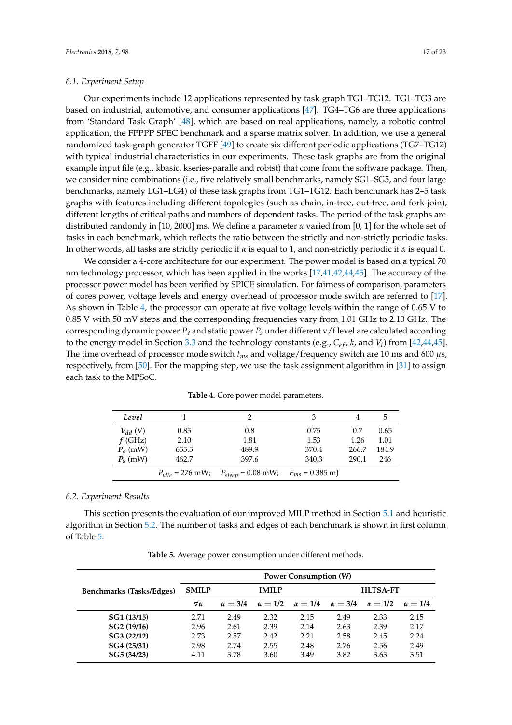## *6.1. Experiment Setup*

Our experiments include 12 applications represented by task graph TG1–TG12. TG1–TG3 are based on industrial, automotive, and consumer applications [\[47\]](#page-22-7). TG4–TG6 are three applications from 'Standard Task Graph' [\[48\]](#page-22-8), which are based on real applications, namely, a robotic control application, the FPPPP SPEC benchmark and a sparse matrix solver. In addition, we use a general randomized task-graph generator TGFF [\[49\]](#page-22-9) to create six different periodic applications (TG7–TG12) with typical industrial characteristics in our experiments. These task graphs are from the original example input file (e.g., kbasic, kseries-paralle and robtst) that come from the software package. Then, we consider nine combinations (i.e., five relatively small benchmarks, namely SG1–SG5, and four large benchmarks, namely LG1–LG4) of these task graphs from TG1–TG12. Each benchmark has 2–5 task graphs with features including different topologies (such as chain, in-tree, out-tree, and fork-join), different lengths of critical paths and numbers of dependent tasks. The period of the task graphs are distributed randomly in [10, 2000] ms. We define a parameter *α* varied from [0, 1] for the whole set of tasks in each benchmark, which reflects the ratio between the strictly and non-strictly periodic tasks. In other words, all tasks are strictly periodic if *α* is equal to 1, and non-strictly periodic if *α* is equal 0.

We consider a 4-core architecture for our experiment. The power model is based on a typical 70 nm technology processor, which has been applied in the works [\[17,](#page-21-13)[41,](#page-22-1)[42,](#page-22-2)[44,](#page-22-4)[45\]](#page-22-5). The accuracy of the processor power model has been verified by SPICE simulation. For fairness of comparison, parameters of cores power, voltage levels and energy overhead of processor mode switch are referred to [\[17\]](#page-21-13). As shown in Table [4,](#page-16-0) the processor can operate at five voltage levels within the range of 0.65 V to 0.85 V with 50 mV steps and the corresponding frequencies vary from 1.01 GHz to 2.10 GHz. The corresponding dynamic power  $P_d$  and static power  $P_s$  under different v/f level are calculated according to the energy model in Section [3.3](#page-6-1) and the technology constants (e.g.,  $C_{ef}$ ,  $k$ , and  $V_t$ ) from [\[42,](#page-22-2)[44,](#page-22-4)[45\]](#page-22-5). The time overhead of processor mode switch *tms* and voltage/frequency switch are 10 ms and 600 *µ*s, respectively, from [\[50\]](#page-22-10). For the mapping step, we use the task assignment algorithm in [\[31\]](#page-21-20) to assign each task to the MPSoC.

<span id="page-16-0"></span>

| Level        |                      |                                            | З     | 4     | 5     |
|--------------|----------------------|--------------------------------------------|-------|-------|-------|
| $V_{dd}$ (V) | 0.85                 | 0.8                                        | 0.75  | 0.7   | 0.65  |
| $f$ (GHz)    | 2.10                 | 1.81                                       | 1.53  | 1.26  | 1.01  |
| $P_d$ (mW)   | 655.5                | 489.9                                      | 370.4 | 266.7 | 184.9 |
| $P_s$ (mW)   | 462.7                | 397.6                                      | 340.3 | 290.1 | 246   |
|              | $P_{idle} = 276$ mW; | $P_{sleep} = 0.08$ mW; $E_{ms} = 0.385$ mJ |       |       |       |

**Table 4.** Core power model parameters.

#### *6.2. Experiment Results*

This section presents the evaluation of our improved MILP method in Section [5.1](#page-10-0) and heuristic algorithm in Section [5.2.](#page-12-0) The number of tasks and edges of each benchmark is shown in first column of Table [5.](#page-17-0)

| Table 5. Average power consumption under different methods. |  |  |
|-------------------------------------------------------------|--|--|
|-------------------------------------------------------------|--|--|

|                          |              |                |                | <b>Power Consumption (W)</b>  |                 |                |                |  |
|--------------------------|--------------|----------------|----------------|-------------------------------|-----------------|----------------|----------------|--|
| Benchmarks (Tasks/Edges) | <b>SMILP</b> |                | <b>IMILP</b>   |                               | <b>HLTSA-FT</b> |                |                |  |
|                          | ∀α           | $\alpha = 3/4$ | $\alpha = 1/2$ | $\alpha = 1/4$ $\alpha = 3/4$ |                 | $\alpha = 1/2$ | $\alpha = 1/4$ |  |
| SG1 (13/15)              | 2.71         | 2.49           | 2.32           | 2.15                          | 2.49            | 2.33           | 2.15           |  |
| SG2 (19/16)              | 2.96         | 2.61           | 2.39           | 2.14                          | 2.63            | 2.39           | 2.17           |  |
| SG3 (22/12)              | 2.73         | 2.57           | 2.42           | 2.21                          | 2.58            | 2.45           | 2.24           |  |
| SG4 (25/31)              | 2.98         | 2.74           | 2.55           | 2.48                          | 2.76            | 2.56           | 2.49           |  |
| SG5 (34/23)              | 4.11         | 3.78           | 3.60           | 3.49                          | 3.82            | 3.63           | 3.51           |  |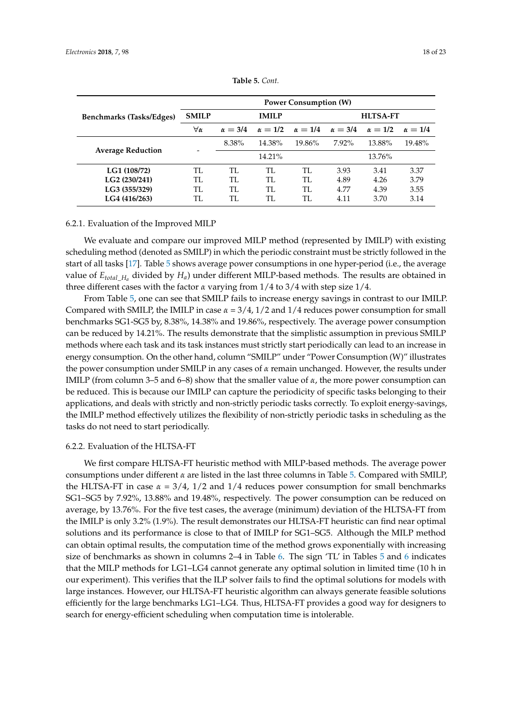<span id="page-17-0"></span>

|                          | <b>Power Consumption (W)</b> |                |                |                 |                |                |                |  |  |
|--------------------------|------------------------------|----------------|----------------|-----------------|----------------|----------------|----------------|--|--|
| Benchmarks (Tasks/Edges) | <b>SMILP</b>                 |                | <b>IMILP</b>   | <b>HLTSA-FT</b> |                |                |                |  |  |
|                          | ∀α                           | $\alpha = 3/4$ | $\alpha = 1/2$ | $\alpha = 1/4$  | $\alpha = 3/4$ | $\alpha = 1/2$ | $\alpha = 1/4$ |  |  |
|                          |                              | 8.38%          | 14.38%         | 19.86%          | $7.92\%$       | 13.88%         | 19.48%         |  |  |
| <b>Average Reduction</b> |                              |                | 14.21%         |                 | 13.76%         |                |                |  |  |
| LG1 (108/72)             | TI.                          | TI.            | TI.            | TL.             | 3.93           | 3.41           | 3.37           |  |  |
| LG2 (230/241)            | TI.                          | TI.            | TL.            | TL              | 4.89           | 4.26           | 3.79           |  |  |
| LG3 (355/329)            | TL.                          | TI.            | TI.            | TL              | 4.77           | 4.39           | 3.55           |  |  |
| LG4 (416/263)            | TI.                          | TI.            | TL             | TI.             | 4.11           | 3.70           | 3.14           |  |  |

**Table 5.** *Cont.*

## 6.2.1. Evaluation of the Improved MILP

We evaluate and compare our improved MILP method (represented by IMILP) with existing scheduling method (denoted as SMILP) in which the periodic constraint must be strictly followed in the start of all tasks [\[17\]](#page-21-13). Table [5](#page-17-0) shows average power consumptions in one hyper-period (i.e., the average value of  $E_{total\_H_a}$  divided by  $H_a$ ) under different MILP-based methods. The results are obtained in three different cases with the factor *α* varying from 1/4 to 3/4 with step size 1/4.

From Table [5,](#page-17-0) one can see that SMILP fails to increase energy savings in contrast to our IMILP. Compared with SMILP, the IMILP in case *α* = 3/4, 1/2 and 1/4 reduces power consumption for small benchmarks SG1-SG5 by, 8.38%, 14.38% and 19.86%, respectively. The average power consumption can be reduced by 14.21%. The results demonstrate that the simplistic assumption in previous SMILP methods where each task and its task instances must strictly start periodically can lead to an increase in energy consumption. On the other hand, column "SMILP" under "Power Consumption (W)" illustrates the power consumption under SMILP in any cases of *α* remain unchanged. However, the results under IMILP (from column 3–5 and 6–8) show that the smaller value of *α*, the more power consumption can be reduced. This is because our IMILP can capture the periodicity of specific tasks belonging to their applications, and deals with strictly and non-strictly periodic tasks correctly. To exploit energy-savings, the IMILP method effectively utilizes the flexibility of non-strictly periodic tasks in scheduling as the tasks do not need to start periodically.

## 6.2.2. Evaluation of the HLTSA-FT

We first compare HLTSA-FT heuristic method with MILP-based methods. The average power consumptions under different *α* are listed in the last three columns in Table [5.](#page-17-0) Compared with SMILP, the HLTSA-FT in case  $\alpha = 3/4$ ,  $1/2$  and  $1/4$  reduces power consumption for small benchmarks SG1–SG5 by 7.92%, 13.88% and 19.48%, respectively. The power consumption can be reduced on average, by 13.76%. For the five test cases, the average (minimum) deviation of the HLTSA-FT from the IMILP is only 3.2% (1.9%). The result demonstrates our HLTSA-FT heuristic can find near optimal solutions and its performance is close to that of IMILP for SG1–SG5. Although the MILP method can obtain optimal results, the computation time of the method grows exponentially with increasing size of benchmarks as shown in columns 2–4 in Table [6.](#page-18-0) The sign 'TL' in Tables [5](#page-17-0) and [6](#page-18-0) indicates that the MILP methods for LG1–LG4 cannot generate any optimal solution in limited time (10 h in our experiment). This verifies that the ILP solver fails to find the optimal solutions for models with large instances. However, our HLTSA-FT heuristic algorithm can always generate feasible solutions efficiently for the large benchmarks LG1–LG4. Thus, HLTSA-FT provides a good way for designers to search for energy-efficient scheduling when computation time is intolerable.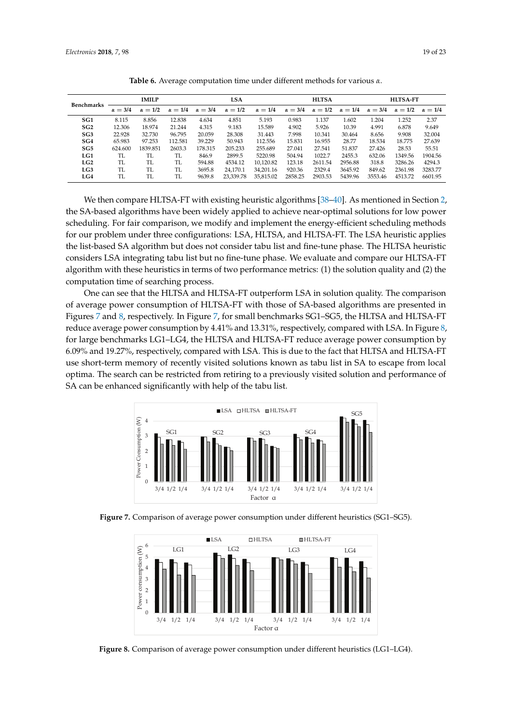<span id="page-18-0"></span>

| <b>Benchmarks</b> | <b>IMILP</b>   |                |                | <b>LSA</b>     |                |                | <b>HLTSA</b>   |                |                | <b>HLTSA-FT</b> |                |                |
|-------------------|----------------|----------------|----------------|----------------|----------------|----------------|----------------|----------------|----------------|-----------------|----------------|----------------|
|                   | $\alpha = 3/4$ | $\alpha = 1/2$ | $\alpha = 1/4$ | $\alpha = 3/4$ | $\alpha = 1/2$ | $\alpha = 1/4$ | $\alpha = 3/4$ | $\alpha = 1/2$ | $\alpha = 1/4$ | $\alpha = 3/4$  | $\alpha = 1/2$ | $\alpha = 1/4$ |
| SG <sub>1</sub>   | 8.115          | 8.856          | 12.838         | 4.634          | 4.851          | 5.193          | 0.983          | 1.137          | 1.602          | 1.204           | 1.252          | 2.37           |
| SG2               | 12.306         | 18.974         | 21.244         | 4.315          | 9.183          | 15.589         | 4.902          | 5.926          | 10.39          | 4.991           | 6.878          | 9.649          |
| SG3               | 22.928         | 32.730         | 96.795         | 20.059         | 28.308         | 31.443         | 7.998          | 10.341         | 30.464         | 8.656           | 9.908          | 32.004         |
| SG4               | 65.983         | 97.253         | 112.581        | 39.229         | 50.943         | 112.556        | 15.831         | 16.955         | 28.77          | 18.534          | 18.775         | 27.639         |
| SG5               | 624.600        | 1839.851       | 2603.3         | 178.315        | 205.233        | 255.689        | 27.041         | 27.541         | 51.837         | 27.426          | 28.53          | 55.51          |
| LG1               | TI.            | TI.            | TI.            | 846.9          | 2899.5         | 5220.98        | 504.94         | 1022.7         | 2455.3         | 632.06          | 1349.56        | 1904.56        |
| LG2               | TI.            | TI.            | TL             | 594.88         | 4534.12        | 10.120.82      | 123.18         | 2611.54        | 2956.88        | 318.8           | 3286.26        | 4294.3         |
| LG3               | TL             | TI.            | TI.            | 3695.8         | 24.170.1       | 34.201.16      | 920.36         | 2329.4         | 3645.92        | 849.62          | 2361.98        | 3283.77        |
| LG4               | TL             | <b>TL</b>      | <b>TL</b>      | 9639.8         | 23.339.78      | 35.815.02      | 2858.25        | 2903.53        | 5439.96        | 3553.46         | 4513.72        | 6601.95        |

**Table 6.** Average computation time under different methods for various *α*.

We then compare HLTSA-FT with existing heuristic algorithms [\[38–](#page-21-19)[40\]](#page-22-0). As mentioned in Section [2,](#page-2-0) the SA-based algorithms have been widely applied to achieve near-optimal solutions for low power scheduling. For fair comparison, we modify and implement the energy-efficient scheduling methods for our problem under three configurations: LSA, HLTSA, and HLTSA-FT. The LSA heuristic applies the list-based SA algorithm but does not consider tabu list and fine-tune phase. The HLTSA heuristic considers LSA integrating tabu list but no fine-tune phase. We evaluate and compare our HLTSA-FT algorithm with these heuristics in terms of two performance metrics: (1) the solution quality and (2) the computation time of searching process.

One can see that the HLTSA and HLTSA-FT outperform LSA in solution quality. The comparison of average power consumption of HLTSA-FT with those of SA-based algorithms are presented in Figures [7](#page-18-1) and [8,](#page-18-2) respectively. In Figure [7,](#page-18-1) for small benchmarks SG1–SG5, the HLTSA and HLTSA-FT reduce average power consumption by 4.41% and 13.31%, respectively, compared with LSA. In Figure [8,](#page-18-2) for large benchmarks LG1–LG4, the HLTSA and HLTSA-FT reduce average power consumption by 6.09% and 19.27%, respectively, compared with LSA. This is due to the fact that HLTSA and HLTSA-FT use short-term memory of recently visited solutions known as tabu list in SA to escape from local optima. The search can be restricted from retiring to a previously visited solution and performance of SA can be enhanced significantly with help of the tabu list.

<span id="page-18-1"></span>

<span id="page-18-2"></span>**Figure 7.** Comparison of average power consumption under different heuristics (SG1–SG5).



**Figure 8.** Comparison of average power consumption under different heuristics (LG1–LG4).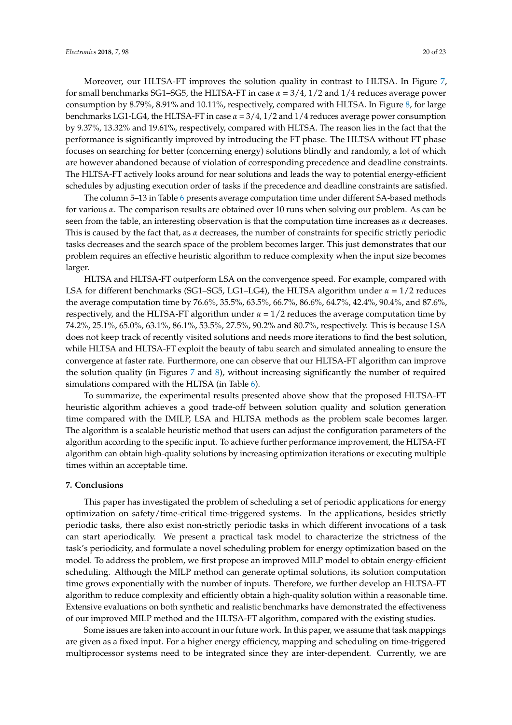Moreover, our HLTSA-FT improves the solution quality in contrast to HLTSA. In Figure [7,](#page-18-1) for small benchmarks SG1–SG5, the HLTSA-FT in case  $\alpha = 3/4$ , 1/2 and 1/4 reduces average power consumption by 8.79%, 8.91% and 10.11%, respectively, compared with HLTSA. In Figure [8,](#page-18-2) for large benchmarks LG1-LG4, the HLTSA-FT in case  $\alpha = 3/4$ ,  $1/2$  and  $1/4$  reduces average power consumption by 9.37%, 13.32% and 19.61%, respectively, compared with HLTSA. The reason lies in the fact that the performance is significantly improved by introducing the FT phase. The HLTSA without FT phase focuses on searching for better (concerning energy) solutions blindly and randomly, a lot of which are however abandoned because of violation of corresponding precedence and deadline constraints. The HLTSA-FT actively looks around for near solutions and leads the way to potential energy-efficient schedules by adjusting execution order of tasks if the precedence and deadline constraints are satisfied.

The column 5–13 in Table [6](#page-18-0) presents average computation time under different SA-based methods for various *α*. The comparison results are obtained over 10 runs when solving our problem. As can be seen from the table, an interesting observation is that the computation time increases as  $\alpha$  decreases. This is caused by the fact that, as *α* decreases, the number of constraints for specific strictly periodic tasks decreases and the search space of the problem becomes larger. This just demonstrates that our problem requires an effective heuristic algorithm to reduce complexity when the input size becomes larger.

HLTSA and HLTSA-FT outperform LSA on the convergence speed. For example, compared with LSA for different benchmarks (SG1–SG5, LG1–LG4), the HLTSA algorithm under *α* = 1/2 reduces the average computation time by 76.6%, 35.5%, 63.5%, 66.7%, 86.6%, 64.7%, 42.4%, 90.4%, and 87.6%, respectively, and the HLTSA-FT algorithm under  $\alpha = 1/2$  reduces the average computation time by 74.2%, 25.1%, 65.0%, 63.1%, 86.1%, 53.5%, 27.5%, 90.2% and 80.7%, respectively. This is because LSA does not keep track of recently visited solutions and needs more iterations to find the best solution, while HLTSA and HLTSA-FT exploit the beauty of tabu search and simulated annealing to ensure the convergence at faster rate. Furthermore, one can observe that our HLTSA-FT algorithm can improve the solution quality (in Figures [7](#page-18-1) and [8\)](#page-18-2), without increasing significantly the number of required simulations compared with the HLTSA (in Table [6\)](#page-18-0).

To summarize, the experimental results presented above show that the proposed HLTSA-FT heuristic algorithm achieves a good trade-off between solution quality and solution generation time compared with the IMILP, LSA and HLTSA methods as the problem scale becomes larger. The algorithm is a scalable heuristic method that users can adjust the configuration parameters of the algorithm according to the specific input. To achieve further performance improvement, the HLTSA-FT algorithm can obtain high-quality solutions by increasing optimization iterations or executing multiple times within an acceptable time.

# <span id="page-19-0"></span>**7. Conclusions**

This paper has investigated the problem of scheduling a set of periodic applications for energy optimization on safety/time-critical time-triggered systems. In the applications, besides strictly periodic tasks, there also exist non-strictly periodic tasks in which different invocations of a task can start aperiodically. We present a practical task model to characterize the strictness of the task's periodicity, and formulate a novel scheduling problem for energy optimization based on the model. To address the problem, we first propose an improved MILP model to obtain energy-efficient scheduling. Although the MILP method can generate optimal solutions, its solution computation time grows exponentially with the number of inputs. Therefore, we further develop an HLTSA-FT algorithm to reduce complexity and efficiently obtain a high-quality solution within a reasonable time. Extensive evaluations on both synthetic and realistic benchmarks have demonstrated the effectiveness of our improved MILP method and the HLTSA-FT algorithm, compared with the existing studies.

Some issues are taken into account in our future work. In this paper, we assume that task mappings are given as a fixed input. For a higher energy efficiency, mapping and scheduling on time-triggered multiprocessor systems need to be integrated since they are inter-dependent. Currently, we are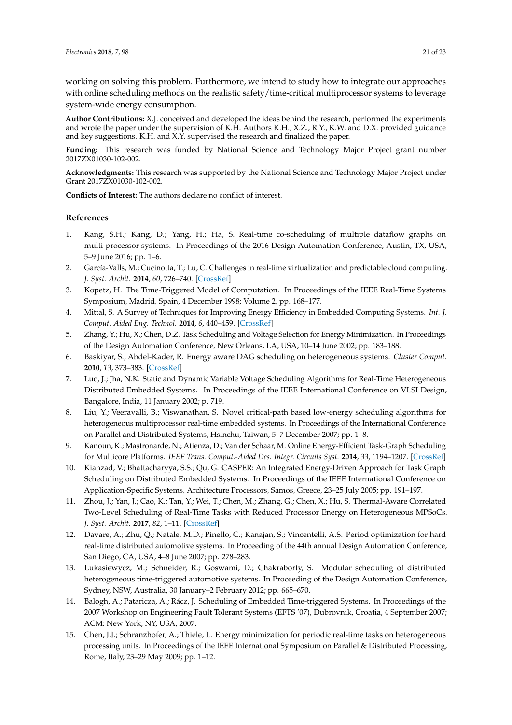working on solving this problem. Furthermore, we intend to study how to integrate our approaches with online scheduling methods on the realistic safety/time-critical multiprocessor systems to leverage system-wide energy consumption.

**Author Contributions:** X.J. conceived and developed the ideas behind the research, performed the experiments and wrote the paper under the supervision of K.H. Authors K.H., X.Z., R.Y., K.W. and D.X. provided guidance and key suggestions. K.H. and X.Y. supervised the research and finalized the paper.

**Funding:** This research was funded by National Science and Technology Major Project grant number 2017ZX01030-102-002.

**Acknowledgments:** This research was supported by the National Science and Technology Major Project under Grant 2017ZX01030-102-002.

**Conflicts of Interest:** The authors declare no conflict of interest.

# **References**

- <span id="page-20-0"></span>1. Kang, S.H.; Kang, D.; Yang, H.; Ha, S. Real-time co-scheduling of multiple dataflow graphs on multi-processor systems. In Proceedings of the 2016 Design Automation Conference, Austin, TX, USA, 5–9 June 2016; pp. 1–6.
- <span id="page-20-1"></span>2. García-Valls, M.; Cucinotta, T.; Lu, C. Challenges in real-time virtualization and predictable cloud computing. *J. Syst. Archit.* **2014**, *60*, 726–740. [\[CrossRef\]](http://dx.doi.org/10.1016/j.sysarc.2014.07.004)
- <span id="page-20-2"></span>3. Kopetz, H. The Time-Triggered Model of Computation. In Proceedings of the IEEE Real-Time Systems Symposium, Madrid, Spain, 4 December 1998; Volume 2, pp. 168–177.
- <span id="page-20-3"></span>4. Mittal, S. A Survey of Techniques for Improving Energy Efficiency in Embedded Computing Systems. *Int. J. Comput. Aided Eng. Technol.* **2014**, *6*, 440–459. [\[CrossRef\]](http://dx.doi.org/10.1504/IJCAET.2014.065419)
- <span id="page-20-4"></span>5. Zhang, Y.; Hu, X.; Chen, D.Z. Task Scheduling and Voltage Selection for Energy Minimization. In Proceedings of the Design Automation Conference, New Orleans, LA, USA, 10–14 June 2002; pp. 183–188.
- <span id="page-20-7"></span>6. Baskiyar, S.; Abdel-Kader, R. Energy aware DAG scheduling on heterogeneous systems. *Cluster Comput.* **2010**, *13*, 373–383. [\[CrossRef\]](http://dx.doi.org/10.1007/s10586-009-0119-6)
- 7. Luo, J.; Jha, N.K. Static and Dynamic Variable Voltage Scheduling Algorithms for Real-Time Heterogeneous Distributed Embedded Systems. In Proceedings of the IEEE International Conference on VLSI Design, Bangalore, India, 11 January 2002; p. 719.
- <span id="page-20-8"></span>8. Liu, Y.; Veeravalli, B.; Viswanathan, S. Novel critical-path based low-energy scheduling algorithms for heterogeneous multiprocessor real-time embedded systems. In Proceedings of the International Conference on Parallel and Distributed Systems, Hsinchu, Taiwan, 5–7 December 2007; pp. 1–8.
- <span id="page-20-9"></span>9. Kanoun, K.; Mastronarde, N.; Atienza, D.; Van der Schaar, M. Online Energy-Efficient Task-Graph Scheduling for Multicore Platforms. *IEEE Trans. Comput.-Aided Des. Integr. Circuits Syst.* **2014**, *33*, 1194–1207. [\[CrossRef\]](http://dx.doi.org/10.1109/TCAD.2014.2316094)
- <span id="page-20-13"></span>10. Kianzad, V.; Bhattacharyya, S.S.; Qu, G. CASPER: An Integrated Energy-Driven Approach for Task Graph Scheduling on Distributed Embedded Systems. In Proceedings of the IEEE International Conference on Application-Specific Systems, Architecture Processors, Samos, Greece, 23–25 July 2005; pp. 191–197.
- <span id="page-20-5"></span>11. Zhou, J.; Yan, J.; Cao, K.; Tan, Y.; Wei, T.; Chen, M.; Zhang, G.; Chen, X.; Hu, S. Thermal-Aware Correlated Two-Level Scheduling of Real-Time Tasks with Reduced Processor Energy on Heterogeneous MPSoCs. *J. Syst. Archit.* **2017**, *82*, 1–11. [\[CrossRef\]](http://dx.doi.org/10.1016/j.sysarc.2017.09.007)
- <span id="page-20-6"></span>12. Davare, A.; Zhu, Q.; Natale, M.D.; Pinello, C.; Kanajan, S.; Vincentelli, A.S. Period optimization for hard real-time distributed automotive systems. In Proceeding of the 44th annual Design Automation Conference, San Diego, CA, USA, 4–8 June 2007; pp. 278–283.
- <span id="page-20-10"></span>13. Lukasiewycz, M.; Schneider, R.; Goswami, D.; Chakraborty, S. Modular scheduling of distributed heterogeneous time-triggered automotive systems. In Proceeding of the Design Automation Conference, Sydney, NSW, Australia, 30 January–2 February 2012; pp. 665–670.
- <span id="page-20-11"></span>14. Balogh, A.; Pataricza, A.; Rácz, J. Scheduling of Embedded Time-triggered Systems. In Proceedings of the 2007 Workshop on Engineering Fault Tolerant Systems (EFTS '07), Dubrovnik, Croatia, 4 September 2007; ACM: New York, NY, USA, 2007.
- <span id="page-20-12"></span>15. Chen, J.J.; Schranzhofer, A.; Thiele, L. Energy minimization for periodic real-time tasks on heterogeneous processing units. In Proceedings of the IEEE International Symposium on Parallel & Distributed Processing, Rome, Italy, 23–29 May 2009; pp. 1–12.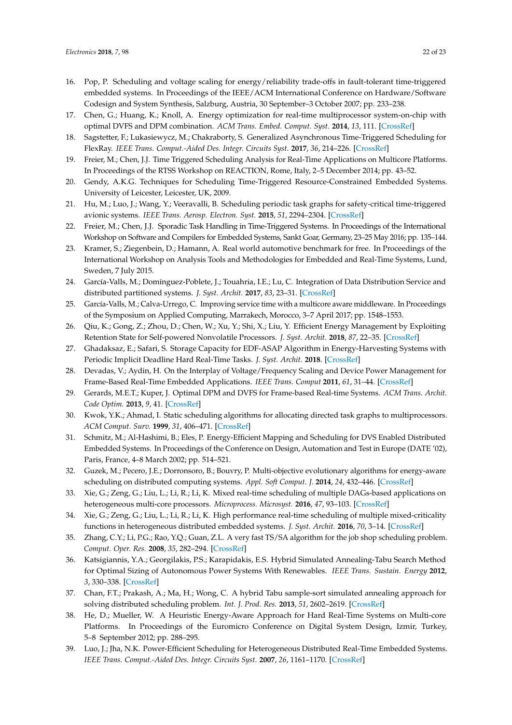- <span id="page-21-12"></span>16. Pop, P. Scheduling and voltage scaling for energy/reliability trade-offs in fault-tolerant time-triggered embedded systems. In Proceedings of the IEEE/ACM International Conference on Hardware/Software Codesign and System Synthesis, Salzburg, Austria, 30 September–3 October 2007; pp. 233–238.
- <span id="page-21-13"></span>17. Chen, G.; Huang, K.; Knoll, A. Energy optimization for real-time multiprocessor system-on-chip with optimal DVFS and DPM combination. *ACM Trans. Embed. Comput. Syst.* **2014**, *13*, 111. [\[CrossRef\]](http://dx.doi.org/10.1145/2567935)
- <span id="page-21-1"></span>18. Sagstetter, F.; Lukasiewycz, M.; Chakraborty, S. Generalized Asynchronous Time-Triggered Scheduling for FlexRay. *IEEE Trans. Comput.-Aided Des. Integr. Circuits Syst.* **2017**, *36*, 214–226. [\[CrossRef\]](http://dx.doi.org/10.1109/TCAD.2016.2570421)
- <span id="page-21-11"></span>19. Freier, M.; Chen, J.J. Time Triggered Scheduling Analysis for Real-Time Applications on Multicore Platforms. In Proceedings of the RTSS Workshop on REACTION, Rome, Italy, 2–5 December 2014; pp. 43–52.
- <span id="page-21-0"></span>20. Gendy, A.K.G. Techniques for Scheduling Time-Triggered Resource-Constrained Embedded Systems. University of Leicester, Leicester, UK, 2009.
- <span id="page-21-2"></span>21. Hu, M.; Luo, J.; Wang, Y.; Veeravalli, B. Scheduling periodic task graphs for safety-critical time-triggered avionic systems. *IEEE Trans. Aerosp. Electron. Syst.* **2015**, *51*, 2294–2304. [\[CrossRef\]](http://dx.doi.org/10.1109/TAES.2015.140063)
- <span id="page-21-3"></span>22. Freier, M.; Chen, J.J. Sporadic Task Handling in Time-Triggered Systems. In Proceedings of the International Workshop on Software and Compilers for Embedded Systems, Sankt Goar, Germany, 23–25 May 2016; pp. 135–144.
- <span id="page-21-4"></span>23. Kramer, S.; Ziegenbein, D.; Hamann, A. Real world automotive benchmark for free. In Proceedings of the International Workshop on Analysis Tools and Methodologies for Embedded and Real-Time Systems, Lund, Sweden, 7 July 2015.
- <span id="page-21-5"></span>24. García-Valls, M.; Domínguez-Poblete, J.; Touahria, I.E.; Lu, C. Integration of Data Distribution Service and distributed partitioned systems. *J. Syst. Archit.* **2017**, *83*, 23–31. [\[CrossRef\]](http://dx.doi.org/10.1016/j.sysarc.2017.11.001)
- <span id="page-21-6"></span>25. García-Valls, M.; Calva-Urrego, C. Improving service time with a multicore aware middleware. In Proceedings of the Symposium on Applied Computing, Marrakech, Morocco, 3–7 April 2017; pp. 1548–1553.
- <span id="page-21-7"></span>26. Qiu, K.; Gong, Z.; Zhou, D.; Chen, W.; Xu, Y.; Shi, X.; Liu, Y. Efficient Energy Management by Exploiting Retention State for Self-powered Nonvolatile Processors. *J. Syst. Archit.* **2018**, *87*, 22–35. [\[CrossRef\]](http://dx.doi.org/10.1016/j.sysarc.2018.03.003)
- <span id="page-21-8"></span>27. Ghadaksaz, E.; Safari, S. Storage Capacity for EDF-ASAP Algorithm in Energy-Harvesting Systems with Periodic Implicit Deadline Hard Real-Time Tasks. *J. Syst. Archit.* **2018**. [\[CrossRef\]](http://dx.doi.org/10.1016/j.sysarc.2018.03.005)
- <span id="page-21-9"></span>28. Devadas, V.; Aydin, H. On the Interplay of Voltage/Frequency Scaling and Device Power Management for Frame-Based Real-Time Embedded Applications. *IEEE Trans. Comput* **2011**, *61*, 31–44. [\[CrossRef\]](http://dx.doi.org/10.1109/TC.2010.248)
- <span id="page-21-10"></span>29. Gerards, M.E.T.; Kuper, J. Optimal DPM and DVFS for Frame-based Real-time Systems. *ACM Trans. Archit. Code Optim.* **2013**, *9*, 41. [\[CrossRef\]](http://dx.doi.org/10.1145/2400682.2400700)
- <span id="page-21-14"></span>30. Kwok, Y.K.; Ahmad, I. Static scheduling algorithms for allocating directed task graphs to multiprocessors. *ACM Comput. Surv.* **1999**, *31*, 406–471. [\[CrossRef\]](http://dx.doi.org/10.1145/344588.344618)
- <span id="page-21-20"></span>31. Schmitz, M.; Al-Hashimi, B.; Eles, P. Energy-Efficient Mapping and Scheduling for DVS Enabled Distributed Embedded Systems. In Proceedings of the Conference on Design, Automation and Test in Europe (DATE '02), Paris, France, 4–8 March 2002; pp. 514–521.
- 32. Guzek, M.; Pecero, J.E.; Dorronsoro, B.; Bouvry, P. Multi-objective evolutionary algorithms for energy-aware scheduling on distributed computing systems. *Appl. Soft Comput. J.* **2014**, *24*, 432–446. [\[CrossRef\]](http://dx.doi.org/10.1016/j.asoc.2014.07.010)
- 33. Xie, G.; Zeng, G.; Liu, L.; Li, R.; Li, K. Mixed real-time scheduling of multiple DAGs-based applications on heterogeneous multi-core processors. *Microprocess. Microsyst.* **2016**, *47*, 93–103. [\[CrossRef\]](http://dx.doi.org/10.1016/j.micpro.2016.04.007)
- <span id="page-21-15"></span>34. Xie, G.; Zeng, G.; Liu, L.; Li, R.; Li, K. High performance real-time scheduling of multiple mixed-criticality functions in heterogeneous distributed embedded systems. *J. Syst. Archit.* **2016**, *70*, 3–14. [\[CrossRef\]](http://dx.doi.org/10.1016/j.sysarc.2016.04.008)
- <span id="page-21-16"></span>35. Zhang, C.Y.; Li, P.G.; Rao, Y.Q.; Guan, Z.L. A very fast TS/SA algorithm for the job shop scheduling problem. *Comput. Oper. Res.* **2008**, *35*, 282–294. [\[CrossRef\]](http://dx.doi.org/10.1016/j.cor.2006.02.024)
- <span id="page-21-17"></span>36. Katsigiannis, Y.A.; Georgilakis, P.S.; Karapidakis, E.S. Hybrid Simulated Annealing-Tabu Search Method for Optimal Sizing of Autonomous Power Systems With Renewables. *IEEE Trans. Sustain. Energy* **2012**, *3*, 330–338. [\[CrossRef\]](http://dx.doi.org/10.1109/TSTE.2012.2184840)
- <span id="page-21-18"></span>37. Chan, F.T.; Prakash, A.; Ma, H.; Wong, C. A hybrid Tabu sample-sort simulated annealing approach for solving distributed scheduling problem. *Int. J. Prod. Res.* **2013**, *51*, 2602–2619. [\[CrossRef\]](http://dx.doi.org/10.1080/00207543.2012.737948)
- <span id="page-21-19"></span>38. He, D.; Mueller, W. A Heuristic Energy-Aware Approach for Hard Real-Time Systems on Multi-core Platforms. In Proceedings of the Euromicro Conference on Digital System Design, Izmir, Turkey, 5–8 September 2012; pp. 288–295.
- 39. Luo, J.; Jha, N.K. Power-Efficient Scheduling for Heterogeneous Distributed Real-Time Embedded Systems. *IEEE Trans. Comput.-Aided Des. Integr. Circuits Syst.* **2007**, *26*, 1161–1170. [\[CrossRef\]](http://dx.doi.org/10.1109/TCAD.2006.885736)